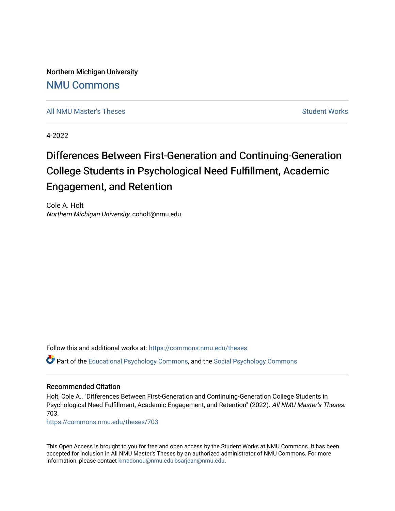Northern Michigan University [NMU Commons](https://commons.nmu.edu/) 

[All NMU Master's Theses](https://commons.nmu.edu/theses) [Student Works](https://commons.nmu.edu/student_works) Student Works Student Works

4-2022

# Differences Between First-Generation and Continuing-Generation College Students in Psychological Need Fulfillment, Academic Engagement, and Retention

Cole A. Holt Northern Michigan University, coholt@nmu.edu

Follow this and additional works at: [https://commons.nmu.edu/theses](https://commons.nmu.edu/theses?utm_source=commons.nmu.edu%2Ftheses%2F703&utm_medium=PDF&utm_campaign=PDFCoverPages)

Part of the [Educational Psychology Commons,](http://network.bepress.com/hgg/discipline/798?utm_source=commons.nmu.edu%2Ftheses%2F703&utm_medium=PDF&utm_campaign=PDFCoverPages) and the [Social Psychology Commons](http://network.bepress.com/hgg/discipline/414?utm_source=commons.nmu.edu%2Ftheses%2F703&utm_medium=PDF&utm_campaign=PDFCoverPages) 

#### Recommended Citation

Holt, Cole A., "Differences Between First-Generation and Continuing-Generation College Students in Psychological Need Fulfillment, Academic Engagement, and Retention" (2022). All NMU Master's Theses. 703.

[https://commons.nmu.edu/theses/703](https://commons.nmu.edu/theses/703?utm_source=commons.nmu.edu%2Ftheses%2F703&utm_medium=PDF&utm_campaign=PDFCoverPages) 

This Open Access is brought to you for free and open access by the Student Works at NMU Commons. It has been accepted for inclusion in All NMU Master's Theses by an authorized administrator of NMU Commons. For more information, please contact [kmcdonou@nmu.edu,bsarjean@nmu.edu](mailto:kmcdonou@nmu.edu,bsarjean@nmu.edu).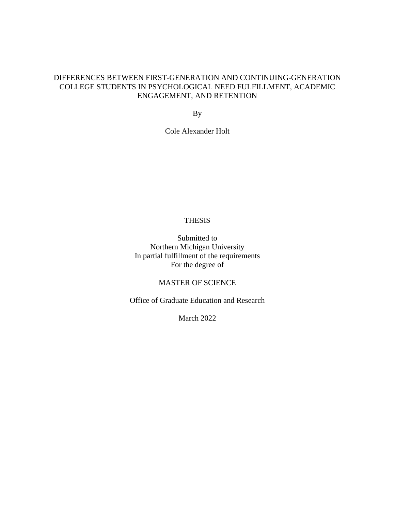# DIFFERENCES BETWEEN FIRST-GENERATION AND CONTINUING-GENERATION COLLEGE STUDENTS IN PSYCHOLOGICAL NEED FULFILLMENT, ACADEMIC ENGAGEMENT, AND RETENTION

By

Cole Alexander Holt

# THESIS

Submitted to Northern Michigan University In partial fulfillment of the requirements For the degree of

MASTER OF SCIENCE

Office of Graduate Education and Research

March 2022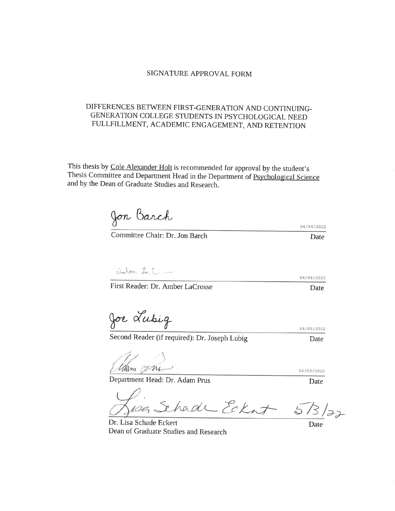#### SIGNATURE APPROVAL FORM

# DIFFERENCES BETWEEN FIRST-GENERATION AND CONTINUING-GENERATION COLLEGE STUDENTS IN PSYCHOLOGICAL NEED FULLFILLMENT, ACADEMIC ENGAGEMENT, AND RETENTION

This thesis by Cole Alexander Holt is recommended for approval by the student's Thesis Committee and Department Head in the Department of Psychological Science and by the Dean of Graduate Studies and Research.

Jon Barch

Committee Chair: Dr. Jon Barch

amber La [\_\_

First Reader: Dr. Amber LaCrosse

Joe Lubig

Second Reader (if required): Dr. Joseph Lubig

Mam 12M

Department Head: Dr. Adam Prus

hade Eckat

Dr. Lisa Schade Eckert Dean of Graduate Studies and Research

Date

04/04/2022

04/05/2022

04/05/2022

Date

Date

04/04/2022

Date

Date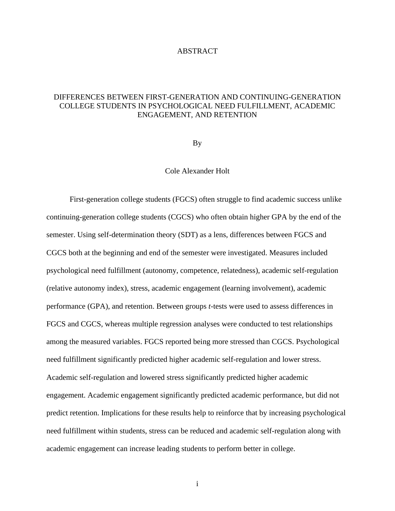#### ABSTRACT

# DIFFERENCES BETWEEN FIRST-GENERATION AND CONTINUING-GENERATION COLLEGE STUDENTS IN PSYCHOLOGICAL NEED FULFILLMENT, ACADEMIC ENGAGEMENT, AND RETENTION

By

#### Cole Alexander Holt

First-generation college students (FGCS) often struggle to find academic success unlike continuing-generation college students (CGCS) who often obtain higher GPA by the end of the semester. Using self-determination theory (SDT) as a lens, differences between FGCS and CGCS both at the beginning and end of the semester were investigated. Measures included psychological need fulfillment (autonomy, competence, relatedness), academic self-regulation (relative autonomy index), stress, academic engagement (learning involvement), academic performance (GPA), and retention. Between groups *t*-tests were used to assess differences in FGCS and CGCS, whereas multiple regression analyses were conducted to test relationships among the measured variables. FGCS reported being more stressed than CGCS. Psychological need fulfillment significantly predicted higher academic self-regulation and lower stress. Academic self-regulation and lowered stress significantly predicted higher academic engagement. Academic engagement significantly predicted academic performance, but did not predict retention. Implications for these results help to reinforce that by increasing psychological need fulfillment within students, stress can be reduced and academic self-regulation along with academic engagement can increase leading students to perform better in college.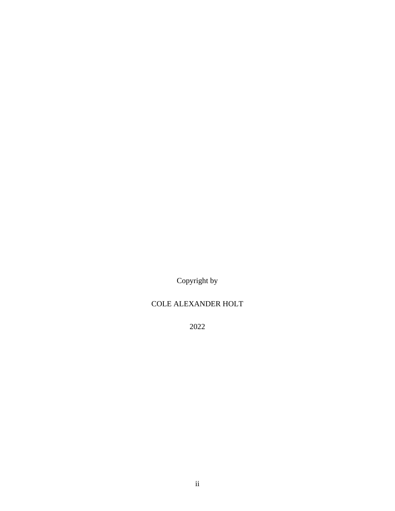Copyright by

# COLE ALEXANDER HOLT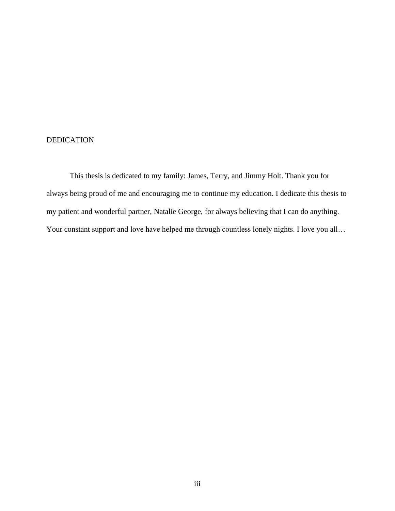# DEDICATION

This thesis is dedicated to my family: James, Terry, and Jimmy Holt. Thank you for always being proud of me and encouraging me to continue my education. I dedicate this thesis to my patient and wonderful partner, Natalie George, for always believing that I can do anything. Your constant support and love have helped me through countless lonely nights. I love you all...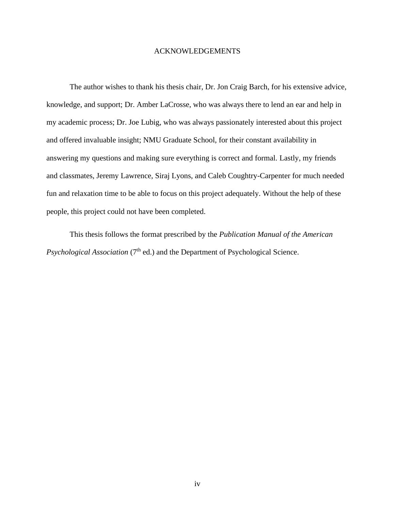#### ACKNOWLEDGEMENTS

The author wishes to thank his thesis chair, Dr. Jon Craig Barch, for his extensive advice, knowledge, and support; Dr. Amber LaCrosse, who was always there to lend an ear and help in my academic process; Dr. Joe Lubig, who was always passionately interested about this project and offered invaluable insight; NMU Graduate School, for their constant availability in answering my questions and making sure everything is correct and formal. Lastly, my friends and classmates, Jeremy Lawrence, Siraj Lyons, and Caleb Coughtry-Carpenter for much needed fun and relaxation time to be able to focus on this project adequately. Without the help of these people, this project could not have been completed.

This thesis follows the format prescribed by the *Publication Manual of the American Psychological Association* (7<sup>th</sup> ed.) and the Department of Psychological Science.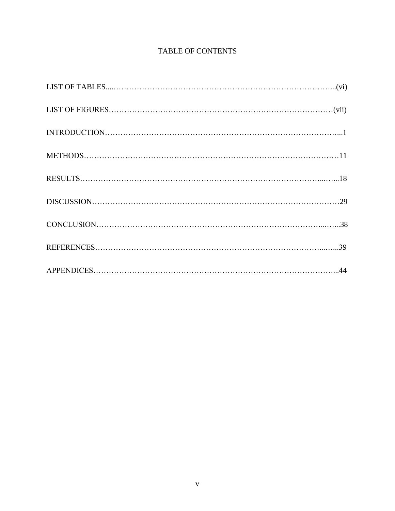# TABLE OF CONTENTS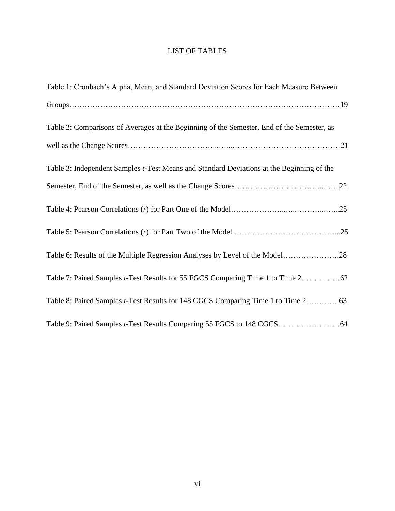# LIST OF TABLES

| Table 1: Cronbach's Alpha, Mean, and Standard Deviation Scores for Each Measure Between    |
|--------------------------------------------------------------------------------------------|
|                                                                                            |
| Table 2: Comparisons of Averages at the Beginning of the Semester, End of the Semester, as |
|                                                                                            |
| Table 3: Independent Samples t-Test Means and Standard Deviations at the Beginning of the  |
|                                                                                            |
|                                                                                            |
|                                                                                            |
| Table 6: Results of the Multiple Regression Analyses by Level of the Model28               |
|                                                                                            |
|                                                                                            |
|                                                                                            |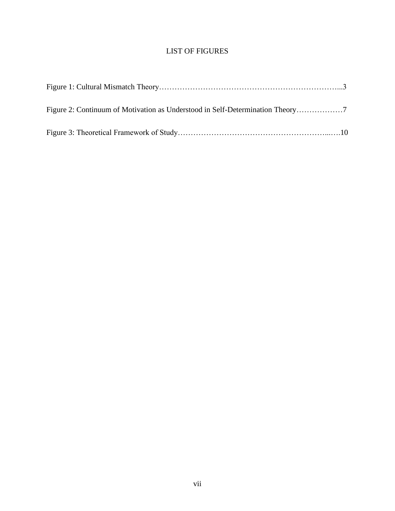# LIST OF FIGURES

| Figure 2: Continuum of Motivation as Understood in Self-Determination Theory |  |
|------------------------------------------------------------------------------|--|
|                                                                              |  |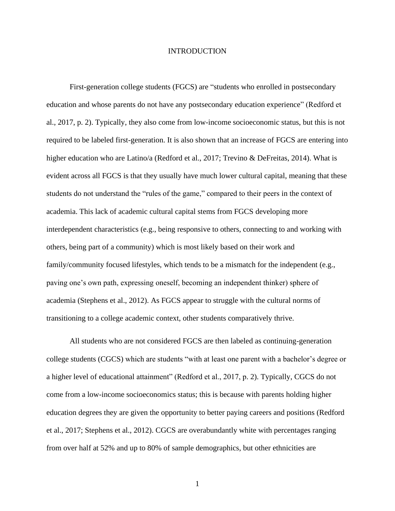#### INTRODUCTION

First-generation college students (FGCS) are "students who enrolled in postsecondary education and whose parents do not have any postsecondary education experience" (Redford et al., 2017, p. 2). Typically, they also come from low-income socioeconomic status, but this is not required to be labeled first-generation. It is also shown that an increase of FGCS are entering into higher education who are Latino/a (Redford et al., 2017; Trevino & DeFreitas, 2014). What is evident across all FGCS is that they usually have much lower cultural capital, meaning that these students do not understand the "rules of the game," compared to their peers in the context of academia. This lack of academic cultural capital stems from FGCS developing more interdependent characteristics (e.g., being responsive to others, connecting to and working with others, being part of a community) which is most likely based on their work and family/community focused lifestyles, which tends to be a mismatch for the independent (e.g., paving one's own path, expressing oneself, becoming an independent thinker) sphere of academia (Stephens et al., 2012). As FGCS appear to struggle with the cultural norms of transitioning to a college academic context, other students comparatively thrive.

All students who are not considered FGCS are then labeled as continuing-generation college students (CGCS) which are students "with at least one parent with a bachelor's degree or a higher level of educational attainment" (Redford et al., 2017, p. 2). Typically, CGCS do not come from a low-income socioeconomics status; this is because with parents holding higher education degrees they are given the opportunity to better paying careers and positions (Redford et al., 2017; Stephens et al., 2012). CGCS are overabundantly white with percentages ranging from over half at 52% and up to 80% of sample demographics, but other ethnicities are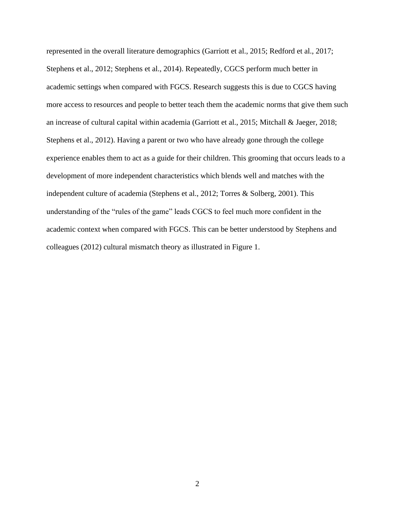represented in the overall literature demographics (Garriott et al., 2015; Redford et al., 2017; Stephens et al., 2012; Stephens et al., 2014). Repeatedly, CGCS perform much better in academic settings when compared with FGCS. Research suggests this is due to CGCS having more access to resources and people to better teach them the academic norms that give them such an increase of cultural capital within academia (Garriott et al., 2015; Mitchall & Jaeger, 2018; Stephens et al., 2012). Having a parent or two who have already gone through the college experience enables them to act as a guide for their children. This grooming that occurs leads to a development of more independent characteristics which blends well and matches with the independent culture of academia (Stephens et al., 2012; Torres & Solberg, 2001). This understanding of the "rules of the game" leads CGCS to feel much more confident in the academic context when compared with FGCS. This can be better understood by Stephens and colleagues (2012) cultural mismatch theory as illustrated in Figure 1.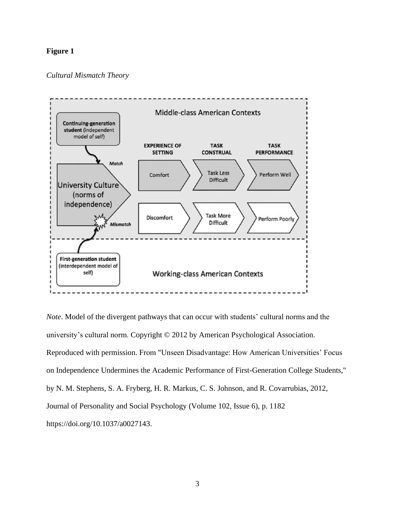### **Figure 1**

#### *Cultural Mismatch Theory*



*Note*. Model of the divergent pathways that can occur with students' cultural norms and the university's cultural norm. Copyright © 2012 by American Psychological Association. Reproduced with permission. From "Unseen Disadvantage: How American Universities' Focus on Independence Undermines the Academic Performance of First-Generation College Students," by N. M. Stephens, S. A. Fryberg, H. R. Markus, C. S. Johnson, and R. Covarrubias, 2012, Journal of Personality and Social Psychology (Volume 102, Issue 6), p. 1182 [https://doi.org/10.1037/a0027143.](https://doi.org/10.1037/a0027143)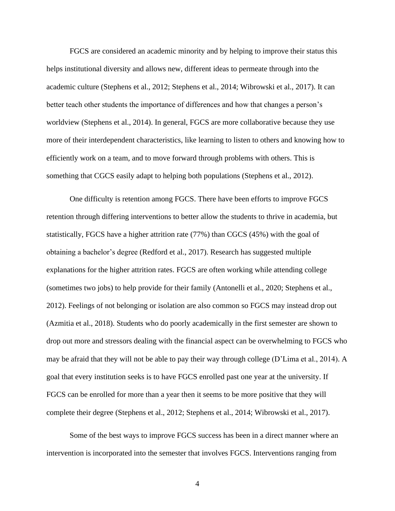FGCS are considered an academic minority and by helping to improve their status this helps institutional diversity and allows new, different ideas to permeate through into the academic culture (Stephens et al., 2012; Stephens et al., 2014; Wibrowski et al., 2017). It can better teach other students the importance of differences and how that changes a person's worldview (Stephens et al., 2014). In general, FGCS are more collaborative because they use more of their interdependent characteristics, like learning to listen to others and knowing how to efficiently work on a team, and to move forward through problems with others. This is something that CGCS easily adapt to helping both populations (Stephens et al., 2012).

One difficulty is retention among FGCS. There have been efforts to improve FGCS retention through differing interventions to better allow the students to thrive in academia, but statistically, FGCS have a higher attrition rate (77%) than CGCS (45%) with the goal of obtaining a bachelor's degree (Redford et al., 2017). Research has suggested multiple explanations for the higher attrition rates. FGCS are often working while attending college (sometimes two jobs) to help provide for their family (Antonelli et al., 2020; Stephens et al., 2012). Feelings of not belonging or isolation are also common so FGCS may instead drop out (Azmitia et al., 2018). Students who do poorly academically in the first semester are shown to drop out more and stressors dealing with the financial aspect can be overwhelming to FGCS who may be afraid that they will not be able to pay their way through college (D'Lima et al., 2014). A goal that every institution seeks is to have FGCS enrolled past one year at the university. If FGCS can be enrolled for more than a year then it seems to be more positive that they will complete their degree (Stephens et al., 2012; Stephens et al., 2014; Wibrowski et al., 2017).

Some of the best ways to improve FGCS success has been in a direct manner where an intervention is incorporated into the semester that involves FGCS. Interventions ranging from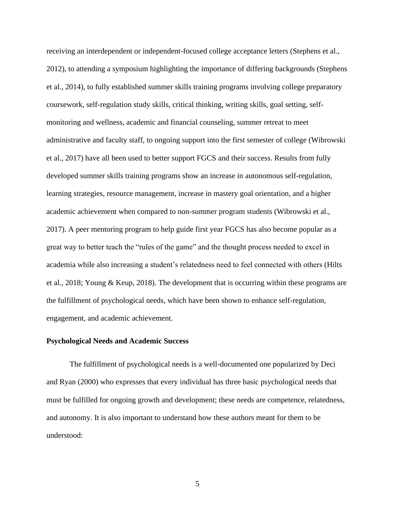receiving an interdependent or independent-focused college acceptance letters (Stephens et al., 2012), to attending a symposium highlighting the importance of differing backgrounds (Stephens et al., 2014), to fully established summer skills training programs involving college preparatory coursework, self-regulation study skills, critical thinking, writing skills, goal setting, selfmonitoring and wellness, academic and financial counseling, summer retreat to meet administrative and faculty staff, to ongoing support into the first semester of college (Wibrowski et al., 2017) have all been used to better support FGCS and their success. Results from fully developed summer skills training programs show an increase in autonomous self-regulation, learning strategies, resource management, increase in mastery goal orientation, and a higher academic achievement when compared to non-summer program students (Wibrowski et al., 2017). A peer mentoring program to help guide first year FGCS has also become popular as a great way to better teach the "rules of the game" and the thought process needed to excel in academia while also increasing a student's relatedness need to feel connected with others (Hilts et al., 2018; Young & Keup, 2018). The development that is occurring within these programs are the fulfillment of psychological needs, which have been shown to enhance self-regulation, engagement, and academic achievement.

#### **Psychological Needs and Academic Success**

The fulfillment of psychological needs is a well-documented one popularized by Deci and Ryan (2000) who expresses that every individual has three basic psychological needs that must be fulfilled for ongoing growth and development; these needs are competence, relatedness, and autonomy. It is also important to understand how these authors meant for them to be understood: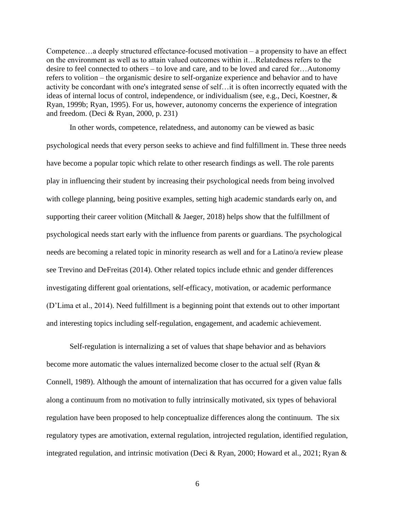Competence…a deeply structured effectance-focused motivation – a propensity to have an effect on the environment as well as to attain valued outcomes within it…Relatedness refers to the desire to feel connected to others – to love and care, and to be loved and cared for…Autonomy refers to volition – the organismic desire to self-organize experience and behavior and to have activity be concordant with one's integrated sense of self…it is often incorrectly equated with the ideas of internal locus of control, independence, or individualism (see, e.g., Deci, Koestner, & Ryan, 1999b; Ryan, 1995). For us, however, autonomy concerns the experience of integration and freedom. (Deci & Ryan, 2000, p. 231)

In other words, competence, relatedness, and autonomy can be viewed as basic psychological needs that every person seeks to achieve and find fulfillment in. These three needs have become a popular topic which relate to other research findings as well. The role parents play in influencing their student by increasing their psychological needs from being involved with college planning, being positive examples, setting high academic standards early on, and supporting their career volition (Mitchall & Jaeger, 2018) helps show that the fulfillment of psychological needs start early with the influence from parents or guardians. The psychological needs are becoming a related topic in minority research as well and for a Latino/a review please see Trevino and DeFreitas (2014). Other related topics include ethnic and gender differences investigating different goal orientations, self-efficacy, motivation, or academic performance (D'Lima et al., 2014). Need fulfillment is a beginning point that extends out to other important and interesting topics including self-regulation, engagement, and academic achievement.

Self-regulation is internalizing a set of values that shape behavior and as behaviors become more automatic the values internalized become closer to the actual self (Ryan & Connell, 1989). Although the amount of internalization that has occurred for a given value falls along a continuum from no motivation to fully intrinsically motivated, six types of behavioral regulation have been proposed to help conceptualize differences along the continuum. The six regulatory types are amotivation, external regulation, introjected regulation, identified regulation, integrated regulation, and intrinsic motivation (Deci & Ryan, 2000; Howard et al., 2021; Ryan &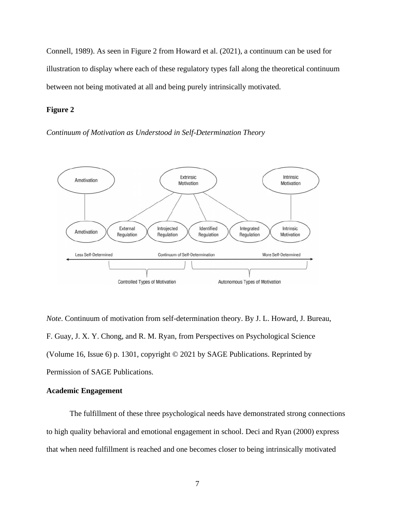Connell, 1989). As seen in Figure 2 from Howard et al. (2021), a continuum can be used for illustration to display where each of these regulatory types fall along the theoretical continuum between not being motivated at all and being purely intrinsically motivated.

#### **Figure 2**

*Continuum of Motivation as Understood in Self-Determination Theory*



*Note*. Continuum of motivation from self-determination theory. By J. L. Howard, J. Bureau, F. Guay, J. X. Y. Chong, and R. M. Ryan, from Perspectives on Psychological Science (Volume 16, Issue 6) p. 1301, copyright © 2021 by SAGE Publications. Reprinted by Permission of SAGE Publications.

#### **Academic Engagement**

The fulfillment of these three psychological needs have demonstrated strong connections to high quality behavioral and emotional engagement in school. Deci and Ryan (2000) express that when need fulfillment is reached and one becomes closer to being intrinsically motivated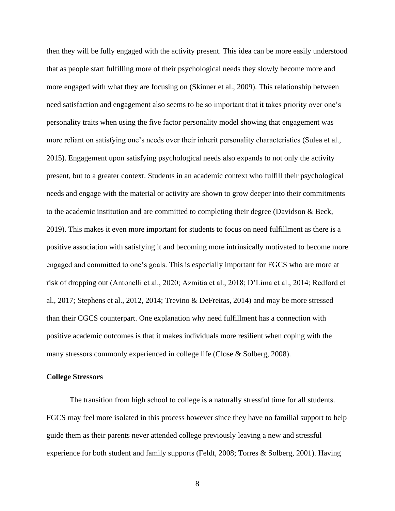then they will be fully engaged with the activity present. This idea can be more easily understood that as people start fulfilling more of their psychological needs they slowly become more and more engaged with what they are focusing on (Skinner et al., 2009). This relationship between need satisfaction and engagement also seems to be so important that it takes priority over one's personality traits when using the five factor personality model showing that engagement was more reliant on satisfying one's needs over their inherit personality characteristics (Sulea et al., 2015). Engagement upon satisfying psychological needs also expands to not only the activity present, but to a greater context. Students in an academic context who fulfill their psychological needs and engage with the material or activity are shown to grow deeper into their commitments to the academic institution and are committed to completing their degree (Davidson & Beck, 2019). This makes it even more important for students to focus on need fulfillment as there is a positive association with satisfying it and becoming more intrinsically motivated to become more engaged and committed to one's goals. This is especially important for FGCS who are more at risk of dropping out (Antonelli et al., 2020; Azmitia et al., 2018; D'Lima et al., 2014; Redford et al., 2017; Stephens et al., 2012, 2014; Trevino & DeFreitas, 2014) and may be more stressed than their CGCS counterpart. One explanation why need fulfillment has a connection with positive academic outcomes is that it makes individuals more resilient when coping with the many stressors commonly experienced in college life (Close & Solberg, 2008).

#### **College Stressors**

The transition from high school to college is a naturally stressful time for all students. FGCS may feel more isolated in this process however since they have no familial support to help guide them as their parents never attended college previously leaving a new and stressful experience for both student and family supports (Feldt, 2008; Torres & Solberg, 2001). Having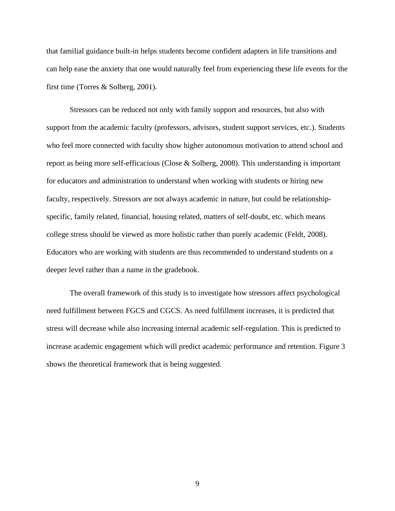that familial guidance built-in helps students become confident adapters in life transitions and can help ease the anxiety that one would naturally feel from experiencing these life events for the first time (Torres & Solberg, 2001).

Stressors can be reduced not only with family support and resources, but also with support from the academic faculty (professors, advisors, student support services, etc.). Students who feel more connected with faculty show higher autonomous motivation to attend school and report as being more self-efficacious (Close & Solberg, 2008). This understanding is important for educators and administration to understand when working with students or hiring new faculty, respectively. Stressors are not always academic in nature, but could be relationshipspecific, family related, financial, housing related, matters of self-doubt, etc. which means college stress should be viewed as more holistic rather than purely academic (Feldt, 2008). Educators who are working with students are thus recommended to understand students on a deeper level rather than a name in the gradebook.

The overall framework of this study is to investigate how stressors affect psychological need fulfillment between FGCS and CGCS. As need fulfillment increases, it is predicted that stress will decrease while also increasing internal academic self-regulation. This is predicted to increase academic engagement which will predict academic performance and retention. Figure 3 shows the theoretical framework that is being suggested.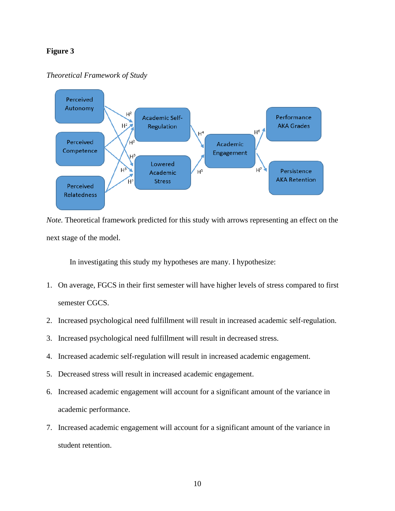### **Figure 3**

#### *Theoretical Framework of Study*



*Note.* Theoretical framework predicted for this study with arrows representing an effect on the next stage of the model.

In investigating this study my hypotheses are many. I hypothesize:

- 1. On average, FGCS in their first semester will have higher levels of stress compared to first semester CGCS.
- 2. Increased psychological need fulfillment will result in increased academic self-regulation.
- 3. Increased psychological need fulfillment will result in decreased stress.
- 4. Increased academic self-regulation will result in increased academic engagement.
- 5. Decreased stress will result in increased academic engagement.
- 6. Increased academic engagement will account for a significant amount of the variance in academic performance.
- 7. Increased academic engagement will account for a significant amount of the variance in student retention.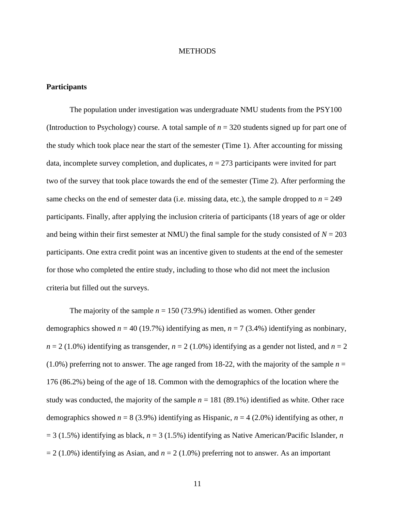#### **METHODS**

#### **Participants**

The population under investigation was undergraduate NMU students from the PSY100 (Introduction to Psychology) course. A total sample of  $n = 320$  students signed up for part one of the study which took place near the start of the semester (Time 1). After accounting for missing data, incomplete survey completion, and duplicates,  $n = 273$  participants were invited for part two of the survey that took place towards the end of the semester (Time 2). After performing the same checks on the end of semester data (i.e. missing data, etc.), the sample dropped to  $n = 249$ participants. Finally, after applying the inclusion criteria of participants (18 years of age or older and being within their first semester at NMU) the final sample for the study consisted of  $N = 203$ participants. One extra credit point was an incentive given to students at the end of the semester for those who completed the entire study, including to those who did not meet the inclusion criteria but filled out the surveys.

The majority of the sample  $n = 150 (73.9%)$  identified as women. Other gender demographics showed  $n = 40$  (19.7%) identifying as men,  $n = 7$  (3.4%) identifying as nonbinary,  $n = 2$  (1.0%) identifying as transgender,  $n = 2$  (1.0%) identifying as a gender not listed, and  $n = 2$  $(1.0\%)$  preferring not to answer. The age ranged from 18-22, with the majority of the sample  $n =$ 176 (86.2%) being of the age of 18. Common with the demographics of the location where the study was conducted, the majority of the sample  $n = 181$  (89.1%) identified as white. Other race demographics showed  $n = 8$  (3.9%) identifying as Hispanic,  $n = 4$  (2.0%) identifying as other, *n*  $= 3$  (1.5%) identifying as black,  $n = 3$  (1.5%) identifying as Native American/Pacific Islander, *n*  $= 2 (1.0\%)$  identifying as Asian, and  $n = 2 (1.0\%)$  preferring not to answer. As an important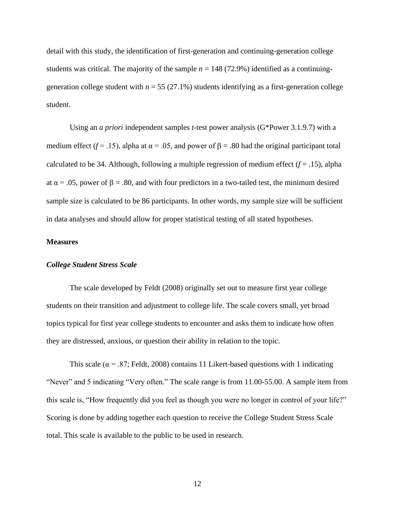detail with this study, the identification of first-generation and continuing-generation college students was critical. The majority of the sample  $n = 148$  (72.9%) identified as a continuinggeneration college student with  $n = 55 (27.1%)$  students identifying as a first-generation college student.

Using an *a priori* independent samples *t*-test power analysis (G\*Power 3.1.9.7) with a medium effect ( $f = .15$ ), alpha at  $\alpha = .05$ , and power of  $\beta = .80$  had the original participant total calculated to be 34. Although, following a multiple regression of medium effect  $(f = .15)$ , alpha at  $\alpha$  = .05, power of  $\beta$  = .80, and with four predictors in a two-tailed test, the minimum desired sample size is calculated to be 86 participants. In other words, my sample size will be sufficient in data analyses and should allow for proper statistical testing of all stated hypotheses.

#### **Measures**

#### *College Student Stress Scale*

The scale developed by Feldt (2008) originally set out to measure first year college students on their transition and adjustment to college life. The scale covers small, yet broad topics typical for first year college students to encounter and asks them to indicate how often they are distressed, anxious, or question their ability in relation to the topic.

This scale ( $\alpha$  = .87; Feldt, 2008) contains 11 Likert-based questions with 1 indicating "Never" and 5 indicating "Very often." The scale range is from 11.00-55.00. A sample item from this scale is, "How frequently did you feel as though you were no longer in control of your life?" Scoring is done by adding together each question to receive the College Student Stress Scale total. This scale is available to the public to be used in research.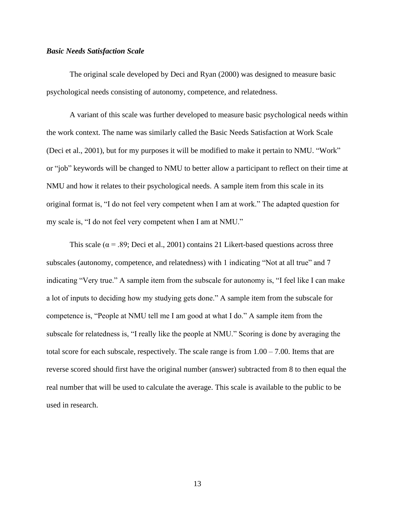#### *Basic Needs Satisfaction Scale*

The original scale developed by Deci and Ryan (2000) was designed to measure basic psychological needs consisting of autonomy, competence, and relatedness.

A variant of this scale was further developed to measure basic psychological needs within the work context. The name was similarly called the Basic Needs Satisfaction at Work Scale (Deci et al., 2001), but for my purposes it will be modified to make it pertain to NMU. "Work" or "job" keywords will be changed to NMU to better allow a participant to reflect on their time at NMU and how it relates to their psychological needs. A sample item from this scale in its original format is, "I do not feel very competent when I am at work." The adapted question for my scale is, "I do not feel very competent when I am at NMU."

This scale ( $\alpha$  = .89; Deci et al., 2001) contains 21 Likert-based questions across three subscales (autonomy, competence, and relatedness) with 1 indicating "Not at all true" and 7 indicating "Very true." A sample item from the subscale for autonomy is, "I feel like I can make a lot of inputs to deciding how my studying gets done." A sample item from the subscale for competence is, "People at NMU tell me I am good at what I do." A sample item from the subscale for relatedness is, "I really like the people at NMU." Scoring is done by averaging the total score for each subscale, respectively. The scale range is from  $1.00 - 7.00$ . Items that are reverse scored should first have the original number (answer) subtracted from 8 to then equal the real number that will be used to calculate the average. This scale is available to the public to be used in research.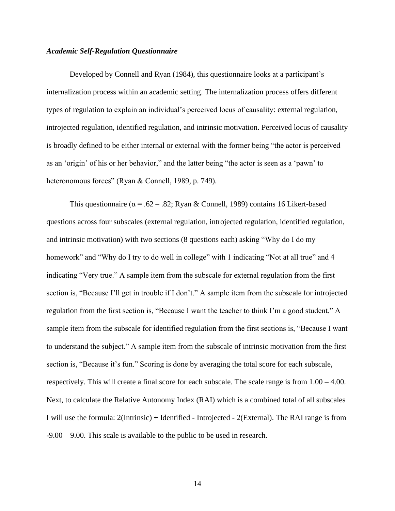#### *Academic Self-Regulation Questionnaire*

Developed by Connell and Ryan (1984), this questionnaire looks at a participant's internalization process within an academic setting. The internalization process offers different types of regulation to explain an individual's perceived locus of causality: external regulation, introjected regulation, identified regulation, and intrinsic motivation. Perceived locus of causality is broadly defined to be either internal or external with the former being "the actor is perceived as an 'origin' of his or her behavior," and the latter being "the actor is seen as a 'pawn' to heteronomous forces" (Ryan & Connell, 1989, p. 749).

This questionnaire ( $\alpha = .62 - .82$ ; Ryan & Connell, 1989) contains 16 Likert-based questions across four subscales (external regulation, introjected regulation, identified regulation, and intrinsic motivation) with two sections (8 questions each) asking "Why do I do my homework" and "Why do I try to do well in college" with 1 indicating "Not at all true" and 4 indicating "Very true." A sample item from the subscale for external regulation from the first section is, "Because I'll get in trouble if I don't." A sample item from the subscale for introjected regulation from the first section is, "Because I want the teacher to think I'm a good student." A sample item from the subscale for identified regulation from the first sections is, "Because I want to understand the subject." A sample item from the subscale of intrinsic motivation from the first section is, "Because it's fun." Scoring is done by averaging the total score for each subscale, respectively. This will create a final score for each subscale. The scale range is from 1.00 – 4.00. Next, to calculate the Relative Autonomy Index (RAI) which is a combined total of all subscales I will use the formula: 2(Intrinsic) + Identified - Introjected - 2(External). The RAI range is from -9.00 – 9.00. This scale is available to the public to be used in research.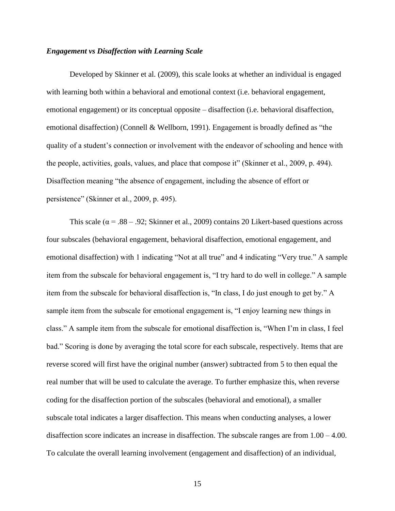#### *Engagement vs Disaffection with Learning Scale*

Developed by Skinner et al. (2009), this scale looks at whether an individual is engaged with learning both within a behavioral and emotional context (i.e. behavioral engagement, emotional engagement) or its conceptual opposite – disaffection (i.e. behavioral disaffection, emotional disaffection) (Connell & Wellborn, 1991). Engagement is broadly defined as "the quality of a student's connection or involvement with the endeavor of schooling and hence with the people, activities, goals, values, and place that compose it" (Skinner et al., 2009, p. 494). Disaffection meaning "the absence of engagement, including the absence of effort or persistence" (Skinner et al., 2009, p. 495).

This scale ( $\alpha$  = .88 – .92; Skinner et al., 2009) contains 20 Likert-based questions across four subscales (behavioral engagement, behavioral disaffection, emotional engagement, and emotional disaffection) with 1 indicating "Not at all true" and 4 indicating "Very true." A sample item from the subscale for behavioral engagement is, "I try hard to do well in college." A sample item from the subscale for behavioral disaffection is, "In class, I do just enough to get by." A sample item from the subscale for emotional engagement is, "I enjoy learning new things in class." A sample item from the subscale for emotional disaffection is, "When I'm in class, I feel bad." Scoring is done by averaging the total score for each subscale, respectively. Items that are reverse scored will first have the original number (answer) subtracted from 5 to then equal the real number that will be used to calculate the average. To further emphasize this, when reverse coding for the disaffection portion of the subscales (behavioral and emotional), a smaller subscale total indicates a larger disaffection. This means when conducting analyses, a lower disaffection score indicates an increase in disaffection. The subscale ranges are from 1.00 – 4.00. To calculate the overall learning involvement (engagement and disaffection) of an individual,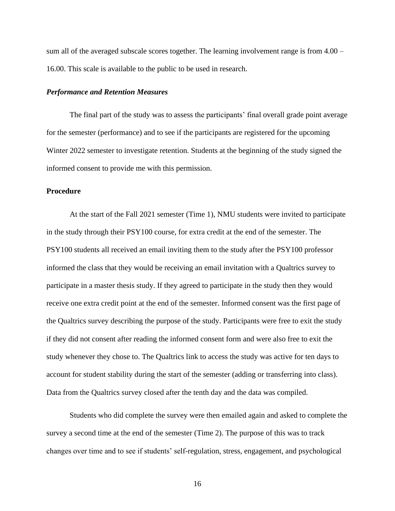sum all of the averaged subscale scores together. The learning involvement range is from 4.00 – 16.00. This scale is available to the public to be used in research.

#### *Performance and Retention Measures*

The final part of the study was to assess the participants' final overall grade point average for the semester (performance) and to see if the participants are registered for the upcoming Winter 2022 semester to investigate retention. Students at the beginning of the study signed the informed consent to provide me with this permission.

### **Procedure**

At the start of the Fall 2021 semester (Time 1), NMU students were invited to participate in the study through their PSY100 course, for extra credit at the end of the semester. The PSY100 students all received an email inviting them to the study after the PSY100 professor informed the class that they would be receiving an email invitation with a Qualtrics survey to participate in a master thesis study. If they agreed to participate in the study then they would receive one extra credit point at the end of the semester. Informed consent was the first page of the Qualtrics survey describing the purpose of the study. Participants were free to exit the study if they did not consent after reading the informed consent form and were also free to exit the study whenever they chose to. The Qualtrics link to access the study was active for ten days to account for student stability during the start of the semester (adding or transferring into class). Data from the Qualtrics survey closed after the tenth day and the data was compiled.

Students who did complete the survey were then emailed again and asked to complete the survey a second time at the end of the semester (Time 2). The purpose of this was to track changes over time and to see if students' self-regulation, stress, engagement, and psychological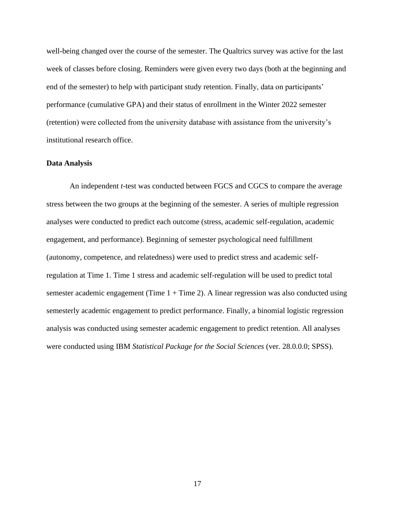well-being changed over the course of the semester. The Qualtrics survey was active for the last week of classes before closing. Reminders were given every two days (both at the beginning and end of the semester) to help with participant study retention. Finally, data on participants' performance (cumulative GPA) and their status of enrollment in the Winter 2022 semester (retention) were collected from the university database with assistance from the university's institutional research office.

#### **Data Analysis**

An independent *t*-test was conducted between FGCS and CGCS to compare the average stress between the two groups at the beginning of the semester. A series of multiple regression analyses were conducted to predict each outcome (stress, academic self-regulation, academic engagement, and performance). Beginning of semester psychological need fulfillment (autonomy, competence, and relatedness) were used to predict stress and academic selfregulation at Time 1. Time 1 stress and academic self-regulation will be used to predict total semester academic engagement (Time  $1 +$  Time 2). A linear regression was also conducted using semesterly academic engagement to predict performance. Finally, a binomial logistic regression analysis was conducted using semester academic engagement to predict retention. All analyses were conducted using IBM *Statistical Package for the Social Sciences* (ver. 28.0.0.0; SPSS).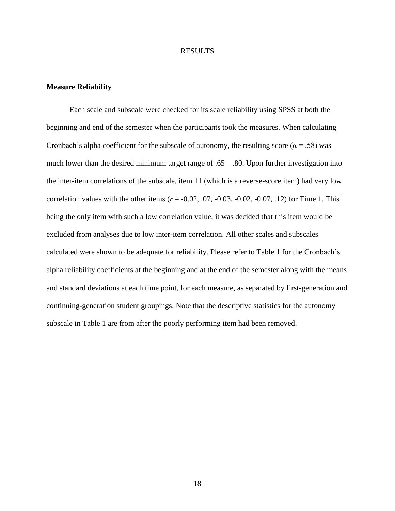#### RESULTS

#### **Measure Reliability**

Each scale and subscale were checked for its scale reliability using SPSS at both the beginning and end of the semester when the participants took the measures. When calculating Cronbach's alpha coefficient for the subscale of autonomy, the resulting score ( $\alpha$  = .58) was much lower than the desired minimum target range of  $.65 - .80$ . Upon further investigation into the inter-item correlations of the subscale, item 11 (which is a reverse-score item) had very low correlation values with the other items  $(r = -0.02, 0.07, -0.03, -0.02, -0.07, 0.12)$  for Time 1. This being the only item with such a low correlation value, it was decided that this item would be excluded from analyses due to low inter-item correlation. All other scales and subscales calculated were shown to be adequate for reliability. Please refer to Table 1 for the Cronbach's alpha reliability coefficients at the beginning and at the end of the semester along with the means and standard deviations at each time point, for each measure, as separated by first-generation and continuing-generation student groupings. Note that the descriptive statistics for the autonomy subscale in Table 1 are from after the poorly performing item had been removed.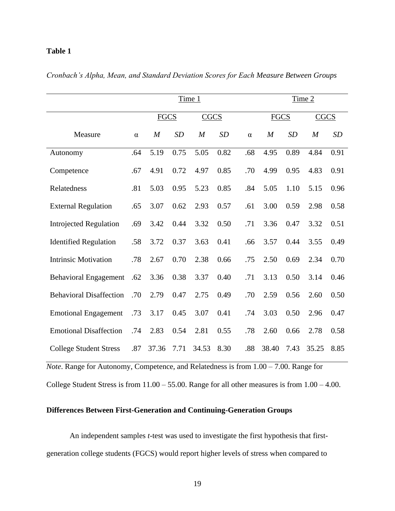## **Table 1**

| Time 1                         |          |                  |                            |                  |           | Time 2   |                  |           |                  |      |
|--------------------------------|----------|------------------|----------------------------|------------------|-----------|----------|------------------|-----------|------------------|------|
|                                |          |                  | <b>FGCS</b><br><b>CGCS</b> |                  |           |          | <b>FGCS</b>      |           | <b>CGCS</b>      |      |
| Measure                        | $\alpha$ | $\boldsymbol{M}$ | SD                         | $\boldsymbol{M}$ | <b>SD</b> | $\alpha$ | $\boldsymbol{M}$ | <b>SD</b> | $\boldsymbol{M}$ | SD   |
| Autonomy                       | .64      | 5.19             | 0.75                       | 5.05             | 0.82      | .68      | 4.95             | 0.89      | 4.84             | 0.91 |
| Competence                     | .67      | 4.91             | 0.72                       | 4.97             | 0.85      | .70      | 4.99             | 0.95      | 4.83             | 0.91 |
| Relatedness                    | .81      | 5.03             | 0.95                       | 5.23             | 0.85      | .84      | 5.05             | 1.10      | 5.15             | 0.96 |
| <b>External Regulation</b>     | .65      | 3.07             | 0.62                       | 2.93             | 0.57      | .61      | 3.00             | 0.59      | 2.98             | 0.58 |
| <b>Introjected Regulation</b>  | .69      | 3.42             | 0.44                       | 3.32             | 0.50      | .71      | 3.36             | 0.47      | 3.32             | 0.51 |
| <b>Identified Regulation</b>   | .58      | 3.72             | 0.37                       | 3.63             | 0.41      | .66      | 3.57             | 0.44      | 3.55             | 0.49 |
| <b>Intrinsic Motivation</b>    | .78      | 2.67             | 0.70                       | 2.38             | 0.66      | .75      | 2.50             | 0.69      | 2.34             | 0.70 |
| <b>Behavioral Engagement</b>   | .62      | 3.36             | 0.38                       | 3.37             | 0.40      | .71      | 3.13             | 0.50      | 3.14             | 0.46 |
| <b>Behavioral Disaffection</b> | .70      | 2.79             | 0.47                       | 2.75             | 0.49      | .70      | 2.59             | 0.56      | 2.60             | 0.50 |
| <b>Emotional Engagement</b>    | .73      | 3.17             | 0.45                       | 3.07             | 0.41      | .74      | 3.03             | 0.50      | 2.96             | 0.47 |
| <b>Emotional Disaffection</b>  | .74      | 2.83             | 0.54                       | 2.81             | 0.55      | .78      | 2.60             | 0.66      | 2.78             | 0.58 |
| <b>College Student Stress</b>  | .87      | 37.36            | 7.71                       | 34.53            | 8.30      | .88      | 38.40            | 7.43      | 35.25            | 8.85 |

*Cronbach's Alpha, Mean, and Standard Deviation Scores for Each Measure Between Groups*

*Note*. Range for Autonomy, Competence, and Relatedness is from 1.00 – 7.00. Range for College Student Stress is from 11.00 – 55.00. Range for all other measures is from 1.00 – 4.00.

# **Differences Between First-Generation and Continuing-Generation Groups**

An independent samples *t*-test was used to investigate the first hypothesis that firstgeneration college students (FGCS) would report higher levels of stress when compared to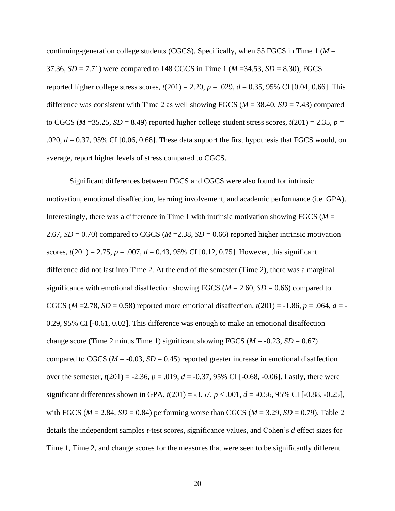continuing-generation college students (CGCS). Specifically, when 55 FGCS in Time 1 (*M* = 37.36, *SD* = 7.71) were compared to 148 CGCS in Time 1 (*M* =34.53, *SD* = 8.30), FGCS reported higher college stress scores,  $t(201) = 2.20$ ,  $p = .029$ ,  $d = 0.35$ , 95% CI [0.04, 0.66]. This difference was consistent with Time 2 as well showing FGCS (*M* = 38.40, *SD* = 7.43) compared to CGCS ( $M = 35.25$ ,  $SD = 8.49$ ) reported higher college student stress scores,  $t(201) = 2.35$ ,  $p =$ .020, *d* = 0.37, 95% CI [0.06, 0.68]. These data support the first hypothesis that FGCS would, on average, report higher levels of stress compared to CGCS.

Significant differences between FGCS and CGCS were also found for intrinsic motivation, emotional disaffection, learning involvement, and academic performance (i.e. GPA). Interestingly, there was a difference in Time 1 with intrinsic motivation showing FGCS ( $M =$ 2.67,  $SD = 0.70$ ) compared to CGCS ( $M = 2.38$ ,  $SD = 0.66$ ) reported higher intrinsic motivation scores,  $t(201) = 2.75$ ,  $p = .007$ ,  $d = 0.43$ , 95% CI [0.12, 0.75]. However, this significant difference did not last into Time 2. At the end of the semester (Time 2), there was a marginal significance with emotional disaffection showing FGCS ( $M = 2.60$ ,  $SD = 0.66$ ) compared to CGCS ( $M = 2.78$ ,  $SD = 0.58$ ) reported more emotional disaffection,  $t(201) = -1.86$ ,  $p = .064$ ,  $d = -$ 0.29, 95% CI [-0.61, 0.02]. This difference was enough to make an emotional disaffection change score (Time 2 minus Time 1) significant showing FGCS ( $M = -0.23$ ,  $SD = 0.67$ ) compared to CGCS ( $M = -0.03$ ,  $SD = 0.45$ ) reported greater increase in emotional disaffection over the semester,  $t(201) = -2.36$ ,  $p = .019$ ,  $d = -0.37$ , 95% CI [-0.68, -0.06]. Lastly, there were significant differences shown in GPA,  $t(201) = -3.57$ ,  $p < .001$ ,  $d = -0.56$ , 95% CI [-0.88, -0.25], with FGCS ( $M = 2.84$ ,  $SD = 0.84$ ) performing worse than CGCS ( $M = 3.29$ ,  $SD = 0.79$ ). Table 2 details the independent samples *t*-test scores, significance values, and Cohen's *d* effect sizes for Time 1, Time 2, and change scores for the measures that were seen to be significantly different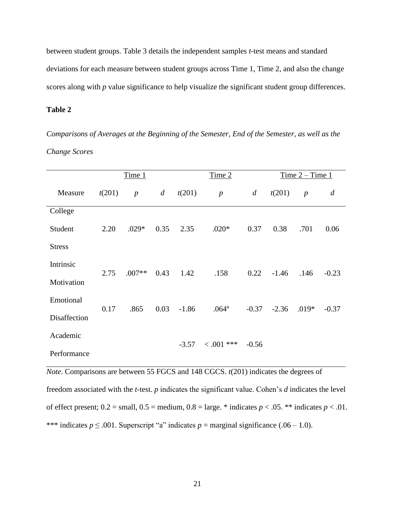between student groups. Table 3 details the independent samples *t*-test means and standard deviations for each measure between student groups across Time 1, Time 2, and also the change scores along with *p* value significance to help visualize the significant student group differences.

**Table 2**

*Comparisons of Averages at the Beginning of the Semester, End of the Semester, as well as the Change Scores*

|               | Time 1 |                  |      |         | Time 2            |                |         | Time $2 -$ Time 1 |                |  |
|---------------|--------|------------------|------|---------|-------------------|----------------|---------|-------------------|----------------|--|
| Measure       | t(201) | $\boldsymbol{p}$ | d    | t(201)  | $\boldsymbol{p}$  | $\overline{d}$ | t(201)  | $\boldsymbol{p}$  | $\overline{d}$ |  |
| College       |        |                  |      |         |                   |                |         |                   |                |  |
| Student       | 2.20   | $.029*$          | 0.35 | 2.35    | $.020*$           | 0.37           | 0.38    | .701              | 0.06           |  |
| <b>Stress</b> |        |                  |      |         |                   |                |         |                   |                |  |
| Intrinsic     | 2.75   | $.007**$         | 0.43 | 1.42    | .158              | 0.22           | $-1.46$ | .146              | $-0.23$        |  |
| Motivation    |        |                  |      |         |                   |                |         |                   |                |  |
| Emotional     | 0.17   | .865             | 0.03 | $-1.86$ | .064 <sup>a</sup> | $-0.37$        | $-2.36$ | $.019*$           | $-0.37$        |  |
| Disaffection  |        |                  |      |         |                   |                |         |                   |                |  |
| Academic      |        |                  |      | $-3.57$ | $0.001$ ***       | $-0.56$        |         |                   |                |  |
| Performance   |        |                  |      |         |                   |                |         |                   |                |  |

*Note*. Comparisons are between 55 FGCS and 148 CGCS. *t*(201) indicates the degrees of freedom associated with the *t*-test. *p* indicates the significant value. Cohen's *d* indicates the level of effect present;  $0.2 = \text{small}, 0.5 = \text{medium}, 0.8 = \text{large.}^* \text{ indicates } p < .05.$ <sup>\*\*</sup> indicates  $p < .01$ . \*\*\* indicates  $p \le 0.001$ . Superscript "a" indicates  $p =$  marginal significance (.06 – 1.0).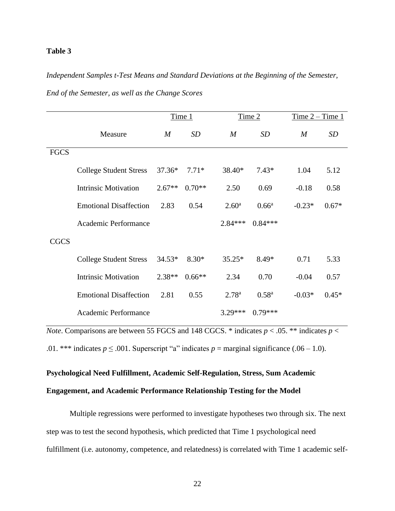### **Table 3**

# *Independent Samples t-Test Means and Standard Deviations at the Beginning of the Semester,*

|             |                               |          | Time 1   |                   | Time 2         | $Time 2 - Time 1$ |           |
|-------------|-------------------------------|----------|----------|-------------------|----------------|-------------------|-----------|
|             | Measure                       | M        | SD       | M                 | <b>SD</b>      | $\boldsymbol{M}$  | <b>SD</b> |
| <b>FGCS</b> |                               |          |          |                   |                |                   |           |
|             | <b>College Student Stress</b> | $37.36*$ | $7.71*$  | 38.40*            | $7.43*$        | 1.04              | 5.12      |
|             | <b>Intrinsic Motivation</b>   | $2.67**$ | $0.70**$ | 2.50              | 0.69           | $-0.18$           | 0.58      |
|             | <b>Emotional Disaffection</b> | 2.83     | 0.54     | 2.60 <sup>a</sup> | $0.66^{\rm a}$ | $-0.23*$          | $0.67*$   |
|             | Academic Performance          |          |          | $2.84***$         | $0.84***$      |                   |           |
| <b>CGCS</b> |                               |          |          |                   |                |                   |           |
|             | <b>College Student Stress</b> | $34.53*$ | $8.30*$  | $35.25*$          | $8.49*$        | 0.71              | 5.33      |
|             | <b>Intrinsic Motivation</b>   | $2.38**$ | $0.66**$ | 2.34              | 0.70           | $-0.04$           | 0.57      |
|             | <b>Emotional Disaffection</b> | 2.81     | 0.55     | 2.78 <sup>a</sup> | $0.58^{a}$     | $-0.03*$          | $0.45*$   |
|             | Academic Performance          |          |          | 3.29***           | $0.79***$      |                   |           |

*End of the Semester, as well as the Change Scores*

*Note*. Comparisons are between 55 FGCS and 148 CGCS. \* indicates  $p < .05$ . \*\* indicates  $p <$ 

.01. \*\*\* indicates  $p \le 0.001$ . Superscript "a" indicates  $p =$  marginal significance (.06 – 1.0).

# **Psychological Need Fulfillment, Academic Self-Regulation, Stress, Sum Academic Engagement, and Academic Performance Relationship Testing for the Model**

Multiple regressions were performed to investigate hypotheses two through six. The next step was to test the second hypothesis, which predicted that Time 1 psychological need fulfillment (i.e. autonomy, competence, and relatedness) is correlated with Time 1 academic self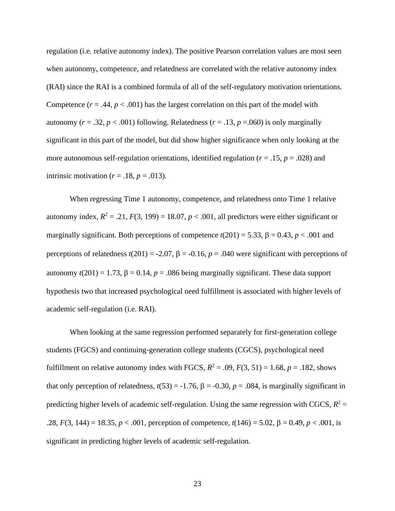regulation (i.e. relative autonomy index). The positive Pearson correlation values are most seen when autonomy, competence, and relatedness are correlated with the relative autonomy index (RAI) since the RAI is a combined formula of all of the self-regulatory motivation orientations. Competence  $(r = .44, p < .001)$  has the largest correlation on this part of the model with autonomy ( $r = .32$ ,  $p < .001$ ) following. Relatedness ( $r = .13$ ,  $p = .060$ ) is only marginally significant in this part of the model, but did show higher significance when only looking at the more autonomous self-regulation orientations, identified regulation (*r* = .15, *p* = .028) and intrinsic motivation ( $r = .18$ ,  $p = .013$ ).

When regressing Time 1 autonomy, competence, and relatedness onto Time 1 relative autonomy index,  $R^2 = .21$ ,  $F(3, 199) = 18.07$ ,  $p < .001$ , all predictors were either significant or marginally significant. Both perceptions of competence  $t(201) = 5.33$ ,  $\beta = 0.43$ ,  $p < .001$  and perceptions of relatedness  $t(201) = -2.07$ ,  $\beta = -0.16$ ,  $p = .040$  were significant with perceptions of autonomy  $t(201) = 1.73$ ,  $\beta = 0.14$ ,  $p = .086$  being marginally significant. These data support hypothesis two that increased psychological need fulfillment is associated with higher levels of academic self-regulation (i.e. RAI).

When looking at the same regression performed separately for first-generation college students (FGCS) and continuing-generation college students (CGCS), psychological need fulfillment on relative autonomy index with FGCS,  $R^2 = .09$ ,  $F(3, 51) = 1.68$ ,  $p = .182$ , shows that only perception of relatedness,  $t(53) = -1.76$ ,  $\beta = -0.30$ ,  $p = .084$ , is marginally significant in predicting higher levels of academic self-regulation. Using the same regression with CGCS,  $R^2$  =  $.28, F(3, 144) = 18.35, p < .001$ , perception of competence,  $t(146) = 5.02, \beta = 0.49, p < .001$ , is significant in predicting higher levels of academic self-regulation.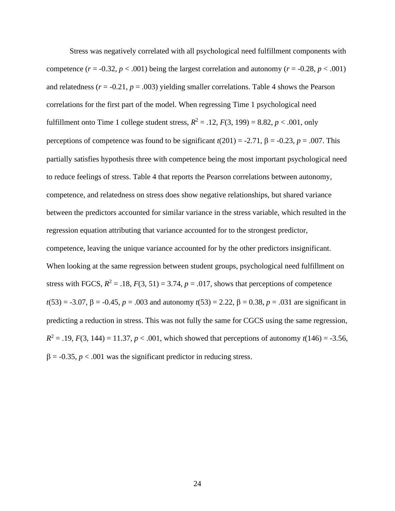Stress was negatively correlated with all psychological need fulfillment components with competence  $(r = -0.32, p < .001)$  being the largest correlation and autonomy  $(r = -0.28, p < .001)$ and relatedness  $(r = -0.21, p = .003)$  yielding smaller correlations. Table 4 shows the Pearson correlations for the first part of the model. When regressing Time 1 psychological need fulfillment onto Time 1 college student stress,  $R^2 = .12$ ,  $F(3, 199) = 8.82$ ,  $p < .001$ , only perceptions of competence was found to be significant  $t(201) = -2.71$ ,  $\beta = -0.23$ ,  $p = .007$ . This partially satisfies hypothesis three with competence being the most important psychological need to reduce feelings of stress. Table 4 that reports the Pearson correlations between autonomy, competence, and relatedness on stress does show negative relationships, but shared variance between the predictors accounted for similar variance in the stress variable, which resulted in the regression equation attributing that variance accounted for to the strongest predictor, competence, leaving the unique variance accounted for by the other predictors insignificant. When looking at the same regression between student groups, psychological need fulfillment on stress with FGCS,  $R^2 = .18$ ,  $F(3, 51) = 3.74$ ,  $p = .017$ , shows that perceptions of competence  $t(53) = -3.07$ ,  $\beta = -0.45$ ,  $p = .003$  and autonomy  $t(53) = 2.22$ ,  $\beta = 0.38$ ,  $p = .031$  are significant in predicting a reduction in stress. This was not fully the same for CGCS using the same regression,  $R^2 = .19$ ,  $F(3, 144) = 11.37$ ,  $p < .001$ , which showed that perceptions of autonomy  $t(146) = -3.56$ ,  $\beta$  = -0.35, *p* < .001 was the significant predictor in reducing stress.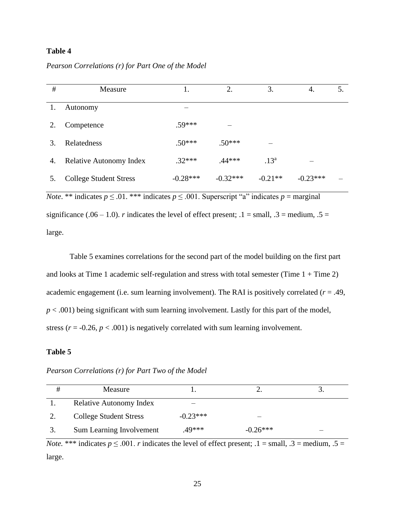# **Table 4**

#### *Pearson Correlations (r) for Part One of the Model*

| $\#$ | Measure                        |            | 2.         | 3.               | 4.         | 5. |
|------|--------------------------------|------------|------------|------------------|------------|----|
| 1.   | Autonomy                       |            |            |                  |            |    |
| 2.   | Competence                     | $.59***$   |            |                  |            |    |
| 3.   | Relatedness                    | $.50***$   | $.50***$   |                  |            |    |
| 4.   | <b>Relative Autonomy Index</b> | $.32***$   | $.44***$   | .13 <sup>a</sup> |            |    |
|      | <b>College Student Stress</b>  | $-0.28***$ | $-0.32***$ | $-0.21**$        | $-0.23***$ |    |

*Note*. \*\* indicates  $p \le 0.01$ . \*\*\* indicates  $p \le 0.001$ . Superscript "a" indicates  $p =$  marginal significance (.06 – 1.0). *r* indicates the level of effect present;  $.1 = \text{small}$ ,  $.3 = \text{medium}$ ,  $.5 =$ large.

Table 5 examines correlations for the second part of the model building on the first part and looks at Time 1 academic self-regulation and stress with total semester (Time  $1 +$ Time 2) academic engagement (i.e. sum learning involvement). The RAI is positively correlated (*r* = .49,  $p < .001$ ) being significant with sum learning involvement. Lastly for this part of the model, stress ( $r = -0.26$ ,  $p < .001$ ) is negatively correlated with sum learning involvement.

### **Table 5**

| Measure                        |            |            |  |
|--------------------------------|------------|------------|--|
| <b>Relative Autonomy Index</b> | —          |            |  |
| <b>College Student Stress</b>  | $-0.23***$ |            |  |
| Sum Learning Involvement       | .49***     | $-0.26***$ |  |

*Pearson Correlations (r) for Part Two of the Model*

*Note.* \*\*\* indicates  $p \le 0.001$ . *r* indicates the level of effect present;  $1 = \text{small}$ ,  $3 = \text{medium}$ ,  $5 =$ large.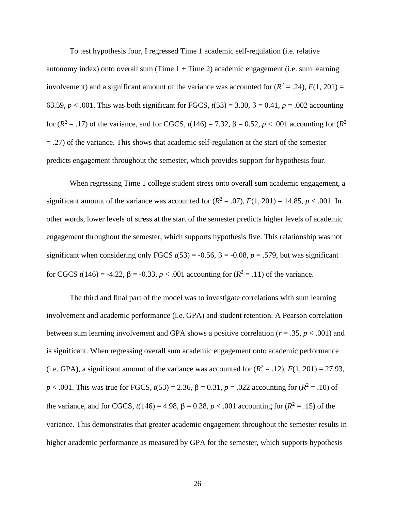To test hypothesis four, I regressed Time 1 academic self-regulation (i.e. relative autonomy index) onto overall sum (Time  $1 +$  Time 2) academic engagement (i.e. sum learning involvement) and a significant amount of the variance was accounted for  $(R^2 = .24)$ ,  $F(1, 201) =$ 63.59,  $p < .001$ . This was both significant for FGCS,  $t(53) = 3.30$ ,  $\beta = 0.41$ ,  $p = .002$  accounting for  $(R^2 = .17)$  of the variance, and for CGCS,  $t(146) = 7.32$ ,  $\beta = 0.52$ ,  $p < .001$  accounting for  $(R^2)$ = .27) of the variance. This shows that academic self-regulation at the start of the semester predicts engagement throughout the semester, which provides support for hypothesis four.

When regressing Time 1 college student stress onto overall sum academic engagement, a significant amount of the variance was accounted for  $(R^2 = .07)$ ,  $F(1, 201) = 14.85$ ,  $p < .001$ . In other words, lower levels of stress at the start of the semester predicts higher levels of academic engagement throughout the semester, which supports hypothesis five. This relationship was not significant when considering only FGCS  $t(53) = -0.56$ ,  $\beta = -0.08$ ,  $p = .579$ , but was significant for CGCS  $t(146) = -4.22$ ,  $\beta = -0.33$ ,  $p < .001$  accounting for  $(R^2 = .11)$  of the variance.

The third and final part of the model was to investigate correlations with sum learning involvement and academic performance (i.e. GPA) and student retention. A Pearson correlation between sum learning involvement and GPA shows a positive correlation (*r* = .35, *p* < .001) and is significant. When regressing overall sum academic engagement onto academic performance (i.e. GPA), a significant amount of the variance was accounted for  $(R^2 = .12)$ ,  $F(1, 201) = 27.93$ ,  $p < .001$ . This was true for FGCS,  $t(53) = 2.36$ ,  $\beta = 0.31$ ,  $p = .022$  accounting for  $(R^2 = .10)$  of the variance, and for CGCS,  $t(146) = 4.98$ ,  $\beta = 0.38$ ,  $p < .001$  accounting for  $(R^2 = .15)$  of the variance. This demonstrates that greater academic engagement throughout the semester results in higher academic performance as measured by GPA for the semester, which supports hypothesis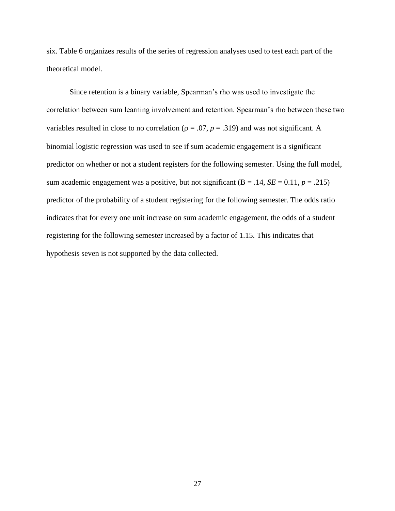six. Table 6 organizes results of the series of regression analyses used to test each part of the theoretical model.

Since retention is a binary variable, Spearman's rho was used to investigate the correlation between sum learning involvement and retention. Spearman's rho between these two variables resulted in close to no correlation ( $\rho = .07$ ,  $p = .319$ ) and was not significant. A binomial logistic regression was used to see if sum academic engagement is a significant predictor on whether or not a student registers for the following semester. Using the full model, sum academic engagement was a positive, but not significant  $(B = .14, SE = 0.11, p = .215)$ predictor of the probability of a student registering for the following semester. The odds ratio indicates that for every one unit increase on sum academic engagement, the odds of a student registering for the following semester increased by a factor of 1.15. This indicates that hypothesis seven is not supported by the data collected.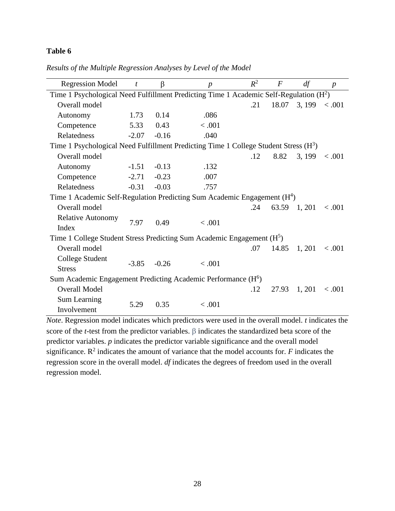# **Table 6**

| <b>Regression Model</b>                                                                 | $\boldsymbol{t}$ | β       | $\boldsymbol{p}$ | $R^2$ | $\boldsymbol{F}$ | df           | $\boldsymbol{p}$ |
|-----------------------------------------------------------------------------------------|------------------|---------|------------------|-------|------------------|--------------|------------------|
| Time 1 Psychological Need Fulfillment Predicting Time 1 Academic Self-Regulation $(H2)$ |                  |         |                  |       |                  |              |                  |
| Overall model                                                                           |                  |         |                  | .21   | 18.07            | 3, 199       | < .001           |
| Autonomy                                                                                | 1.73             | 0.14    | .086             |       |                  |              |                  |
| Competence                                                                              | 5.33             | 0.43    | < .001           |       |                  |              |                  |
| Relatedness                                                                             | $-2.07$          | $-0.16$ | .040             |       |                  |              |                  |
| Time 1 Psychological Need Fulfillment Predicting Time 1 College Student Stress $(H3)$   |                  |         |                  |       |                  |              |                  |
| Overall model                                                                           |                  |         |                  | .12   | 8.82             | 3, 199       | < .001           |
| Autonomy                                                                                | $-1.51$          | $-0.13$ | .132             |       |                  |              |                  |
| Competence                                                                              | $-2.71$          | $-0.23$ | .007             |       |                  |              |                  |
| Relatedness                                                                             | $-0.31$          | $-0.03$ | .757             |       |                  |              |                  |
| Time 1 Academic Self-Regulation Predicting Sum Academic Engagement $(H4)$               |                  |         |                  |       |                  |              |                  |
| Overall model                                                                           |                  |         |                  | .24   |                  | 63.59 1, 201 | 0.001            |
| <b>Relative Autonomy</b>                                                                | 7.97             | 0.49    | < .001           |       |                  |              |                  |
| Index                                                                                   |                  |         |                  |       |                  |              |                  |
| Time 1 College Student Stress Predicting Sum Academic Engagement (H <sup>5</sup> )      |                  |         |                  |       |                  |              |                  |
| Overall model                                                                           |                  |         |                  | .07   | 14.85            | 1, 201       | < .001           |
| College Student                                                                         | $-3.85$          | $-0.26$ | < .001           |       |                  |              |                  |
| <b>Stress</b>                                                                           |                  |         |                  |       |                  |              |                  |
| Sum Academic Engagement Predicting Academic Performance (H <sup>6</sup> )               |                  |         |                  |       |                  |              |                  |
| <b>Overall Model</b>                                                                    |                  |         |                  | .12   | 27.93            | 1, 201       | < .001           |
| Sum Learning                                                                            | 5.29             | 0.35    | < .001           |       |                  |              |                  |
| Involvement                                                                             |                  |         |                  |       |                  |              |                  |

*Results of the Multiple Regression Analyses by Level of the Model*

*Note*. Regression model indicates which predictors were used in the overall model. *t* indicates the score of the *t*-test from the predictor variables.  $\beta$  indicates the standardized beta score of the predictor variables. *p* indicates the predictor variable significance and the overall model significance.  $\mathbb{R}^2$  indicates the amount of variance that the model accounts for. *F* indicates the regression score in the overall model. *df* indicates the degrees of freedom used in the overall regression model.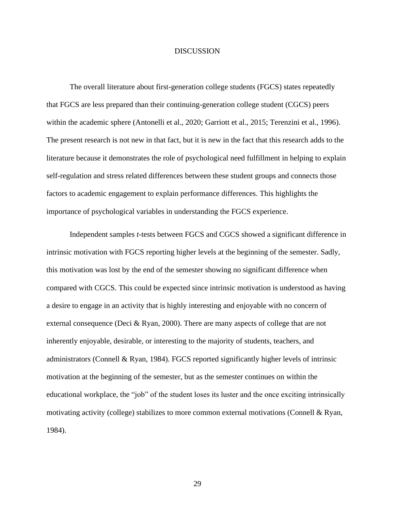#### **DISCUSSION**

The overall literature about first-generation college students (FGCS) states repeatedly that FGCS are less prepared than their continuing-generation college student (CGCS) peers within the academic sphere (Antonelli et al., 2020; Garriott et al., 2015; Terenzini et al., 1996). The present research is not new in that fact, but it is new in the fact that this research adds to the literature because it demonstrates the role of psychological need fulfillment in helping to explain self-regulation and stress related differences between these student groups and connects those factors to academic engagement to explain performance differences. This highlights the importance of psychological variables in understanding the FGCS experience.

Independent samples *t*-tests between FGCS and CGCS showed a significant difference in intrinsic motivation with FGCS reporting higher levels at the beginning of the semester. Sadly, this motivation was lost by the end of the semester showing no significant difference when compared with CGCS. This could be expected since intrinsic motivation is understood as having a desire to engage in an activity that is highly interesting and enjoyable with no concern of external consequence (Deci & Ryan, 2000). There are many aspects of college that are not inherently enjoyable, desirable, or interesting to the majority of students, teachers, and administrators (Connell & Ryan, 1984). FGCS reported significantly higher levels of intrinsic motivation at the beginning of the semester, but as the semester continues on within the educational workplace, the "job" of the student loses its luster and the once exciting intrinsically motivating activity (college) stabilizes to more common external motivations (Connell & Ryan, 1984).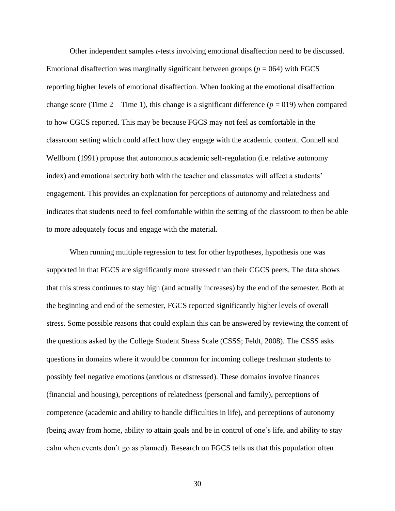Other independent samples *t*-tests involving emotional disaffection need to be discussed. Emotional disaffection was marginally significant between groups ( $p = 064$ ) with FGCS reporting higher levels of emotional disaffection. When looking at the emotional disaffection change score (Time  $2 -$ Time 1), this change is a significant difference ( $p = 019$ ) when compared to how CGCS reported. This may be because FGCS may not feel as comfortable in the classroom setting which could affect how they engage with the academic content. Connell and Wellborn (1991) propose that autonomous academic self-regulation (i.e. relative autonomy index) and emotional security both with the teacher and classmates will affect a students' engagement. This provides an explanation for perceptions of autonomy and relatedness and indicates that students need to feel comfortable within the setting of the classroom to then be able to more adequately focus and engage with the material.

When running multiple regression to test for other hypotheses, hypothesis one was supported in that FGCS are significantly more stressed than their CGCS peers. The data shows that this stress continues to stay high (and actually increases) by the end of the semester. Both at the beginning and end of the semester, FGCS reported significantly higher levels of overall stress. Some possible reasons that could explain this can be answered by reviewing the content of the questions asked by the College Student Stress Scale (CSSS; Feldt, 2008). The CSSS asks questions in domains where it would be common for incoming college freshman students to possibly feel negative emotions (anxious or distressed). These domains involve finances (financial and housing), perceptions of relatedness (personal and family), perceptions of competence (academic and ability to handle difficulties in life), and perceptions of autonomy (being away from home, ability to attain goals and be in control of one's life, and ability to stay calm when events don't go as planned). Research on FGCS tells us that this population often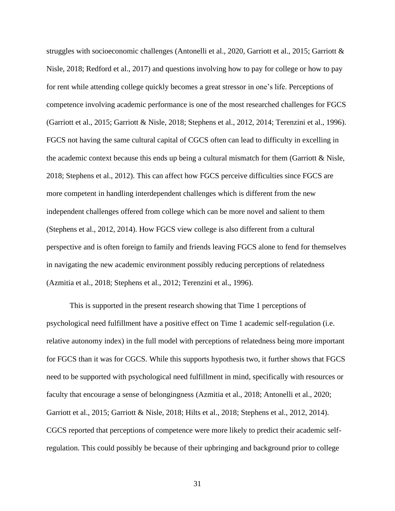struggles with socioeconomic challenges (Antonelli et al., 2020, Garriott et al., 2015; Garriott & Nisle, 2018; Redford et al., 2017) and questions involving how to pay for college or how to pay for rent while attending college quickly becomes a great stressor in one's life. Perceptions of competence involving academic performance is one of the most researched challenges for FGCS (Garriott et al., 2015; Garriott & Nisle, 2018; Stephens et al., 2012, 2014; Terenzini et al., 1996). FGCS not having the same cultural capital of CGCS often can lead to difficulty in excelling in the academic context because this ends up being a cultural mismatch for them (Garriott  $\&$  Nisle, 2018; Stephens et al., 2012). This can affect how FGCS perceive difficulties since FGCS are more competent in handling interdependent challenges which is different from the new independent challenges offered from college which can be more novel and salient to them (Stephens et al., 2012, 2014). How FGCS view college is also different from a cultural perspective and is often foreign to family and friends leaving FGCS alone to fend for themselves in navigating the new academic environment possibly reducing perceptions of relatedness (Azmitia et al., 2018; Stephens et al., 2012; Terenzini et al., 1996).

This is supported in the present research showing that Time 1 perceptions of psychological need fulfillment have a positive effect on Time 1 academic self-regulation (i.e. relative autonomy index) in the full model with perceptions of relatedness being more important for FGCS than it was for CGCS. While this supports hypothesis two, it further shows that FGCS need to be supported with psychological need fulfillment in mind, specifically with resources or faculty that encourage a sense of belongingness (Azmitia et al., 2018; Antonelli et al., 2020; Garriott et al., 2015; Garriott & Nisle, 2018; Hilts et al., 2018; Stephens et al., 2012, 2014). CGCS reported that perceptions of competence were more likely to predict their academic selfregulation. This could possibly be because of their upbringing and background prior to college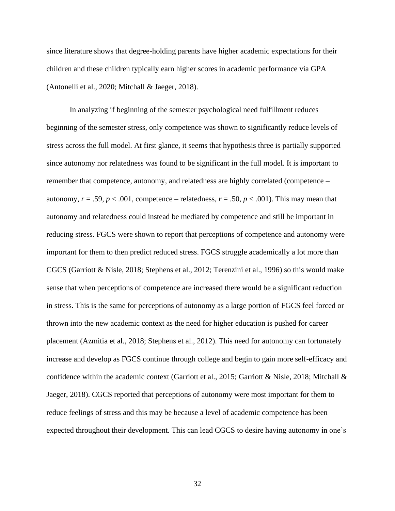since literature shows that degree-holding parents have higher academic expectations for their children and these children typically earn higher scores in academic performance via GPA (Antonelli et al., 2020; Mitchall & Jaeger, 2018).

In analyzing if beginning of the semester psychological need fulfillment reduces beginning of the semester stress, only competence was shown to significantly reduce levels of stress across the full model. At first glance, it seems that hypothesis three is partially supported since autonomy nor relatedness was found to be significant in the full model. It is important to remember that competence, autonomy, and relatedness are highly correlated (competence – autonomy,  $r = .59$ ,  $p < .001$ , competence – relatedness,  $r = .50$ ,  $p < .001$ ). This may mean that autonomy and relatedness could instead be mediated by competence and still be important in reducing stress. FGCS were shown to report that perceptions of competence and autonomy were important for them to then predict reduced stress. FGCS struggle academically a lot more than CGCS (Garriott & Nisle, 2018; Stephens et al., 2012; Terenzini et al., 1996) so this would make sense that when perceptions of competence are increased there would be a significant reduction in stress. This is the same for perceptions of autonomy as a large portion of FGCS feel forced or thrown into the new academic context as the need for higher education is pushed for career placement (Azmitia et al., 2018; Stephens et al., 2012). This need for autonomy can fortunately increase and develop as FGCS continue through college and begin to gain more self-efficacy and confidence within the academic context (Garriott et al., 2015; Garriott & Nisle, 2018; Mitchall & Jaeger, 2018). CGCS reported that perceptions of autonomy were most important for them to reduce feelings of stress and this may be because a level of academic competence has been expected throughout their development. This can lead CGCS to desire having autonomy in one's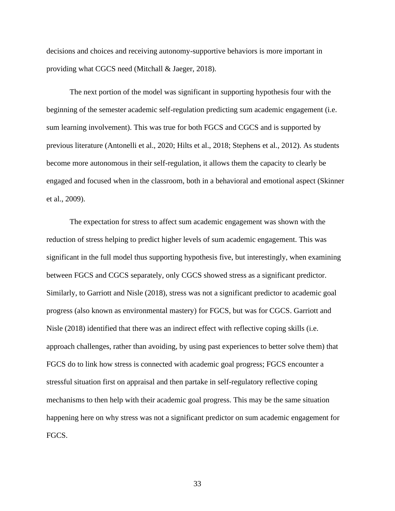decisions and choices and receiving autonomy-supportive behaviors is more important in providing what CGCS need (Mitchall & Jaeger, 2018).

The next portion of the model was significant in supporting hypothesis four with the beginning of the semester academic self-regulation predicting sum academic engagement (i.e. sum learning involvement). This was true for both FGCS and CGCS and is supported by previous literature (Antonelli et al., 2020; Hilts et al., 2018; Stephens et al., 2012). As students become more autonomous in their self-regulation, it allows them the capacity to clearly be engaged and focused when in the classroom, both in a behavioral and emotional aspect (Skinner et al., 2009).

The expectation for stress to affect sum academic engagement was shown with the reduction of stress helping to predict higher levels of sum academic engagement. This was significant in the full model thus supporting hypothesis five, but interestingly, when examining between FGCS and CGCS separately, only CGCS showed stress as a significant predictor. Similarly, to Garriott and Nisle (2018), stress was not a significant predictor to academic goal progress (also known as environmental mastery) for FGCS, but was for CGCS. Garriott and Nisle (2018) identified that there was an indirect effect with reflective coping skills (i.e. approach challenges, rather than avoiding, by using past experiences to better solve them) that FGCS do to link how stress is connected with academic goal progress; FGCS encounter a stressful situation first on appraisal and then partake in self-regulatory reflective coping mechanisms to then help with their academic goal progress. This may be the same situation happening here on why stress was not a significant predictor on sum academic engagement for FGCS.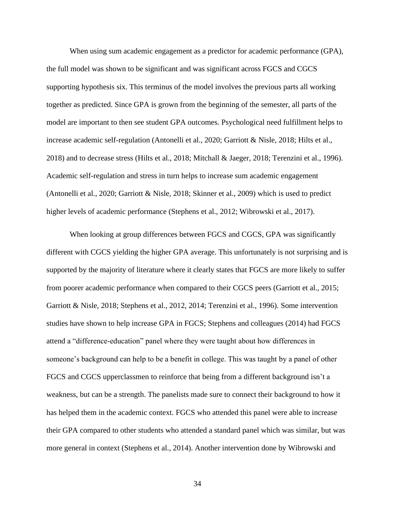When using sum academic engagement as a predictor for academic performance (GPA), the full model was shown to be significant and was significant across FGCS and CGCS supporting hypothesis six. This terminus of the model involves the previous parts all working together as predicted. Since GPA is grown from the beginning of the semester, all parts of the model are important to then see student GPA outcomes. Psychological need fulfillment helps to increase academic self-regulation (Antonelli et al., 2020; Garriott & Nisle, 2018; Hilts et al., 2018) and to decrease stress (Hilts et al., 2018; Mitchall & Jaeger, 2018; Terenzini et al., 1996). Academic self-regulation and stress in turn helps to increase sum academic engagement (Antonelli et al., 2020; Garriott & Nisle, 2018; Skinner et al., 2009) which is used to predict higher levels of academic performance (Stephens et al., 2012; Wibrowski et al., 2017).

When looking at group differences between FGCS and CGCS, GPA was significantly different with CGCS yielding the higher GPA average. This unfortunately is not surprising and is supported by the majority of literature where it clearly states that FGCS are more likely to suffer from poorer academic performance when compared to their CGCS peers (Garriott et al., 2015; Garriott & Nisle, 2018; Stephens et al., 2012, 2014; Terenzini et al., 1996). Some intervention studies have shown to help increase GPA in FGCS; Stephens and colleagues (2014) had FGCS attend a "difference-education" panel where they were taught about how differences in someone's background can help to be a benefit in college. This was taught by a panel of other FGCS and CGCS upperclassmen to reinforce that being from a different background isn't a weakness, but can be a strength. The panelists made sure to connect their background to how it has helped them in the academic context. FGCS who attended this panel were able to increase their GPA compared to other students who attended a standard panel which was similar, but was more general in context (Stephens et al., 2014). Another intervention done by Wibrowski and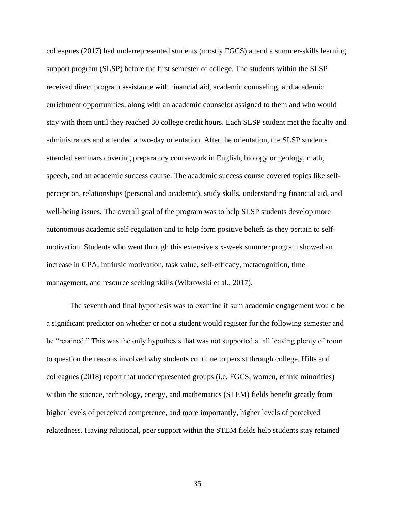colleagues (2017) had underrepresented students (mostly FGCS) attend a summer-skills learning support program (SLSP) before the first semester of college. The students within the SLSP received direct program assistance with financial aid, academic counseling, and academic enrichment opportunities, along with an academic counselor assigned to them and who would stay with them until they reached 30 college credit hours. Each SLSP student met the faculty and administrators and attended a two-day orientation. After the orientation, the SLSP students attended seminars covering preparatory coursework in English, biology or geology, math, speech, and an academic success course. The academic success course covered topics like selfperception, relationships (personal and academic), study skills, understanding financial aid, and well-being issues. The overall goal of the program was to help SLSP students develop more autonomous academic self-regulation and to help form positive beliefs as they pertain to selfmotivation. Students who went through this extensive six-week summer program showed an increase in GPA, intrinsic motivation, task value, self-efficacy, metacognition, time management, and resource seeking skills (Wibrowski et al., 2017).

The seventh and final hypothesis was to examine if sum academic engagement would be a significant predictor on whether or not a student would register for the following semester and be "retained." This was the only hypothesis that was not supported at all leaving plenty of room to question the reasons involved why students continue to persist through college. Hilts and colleagues (2018) report that underrepresented groups (i.e. FGCS, women, ethnic minorities) within the science, technology, energy, and mathematics (STEM) fields benefit greatly from higher levels of perceived competence, and more importantly, higher levels of perceived relatedness. Having relational, peer support within the STEM fields help students stay retained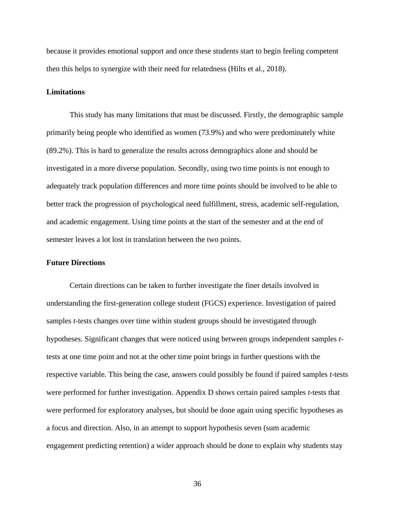because it provides emotional support and once these students start to begin feeling competent then this helps to synergize with their need for relatedness (Hilts et al., 2018).

#### **Limitations**

This study has many limitations that must be discussed. Firstly, the demographic sample primarily being people who identified as women (73.9%) and who were predominately white (89.2%). This is hard to generalize the results across demographics alone and should be investigated in a more diverse population. Secondly, using two time points is not enough to adequately track population differences and more time points should be involved to be able to better track the progression of psychological need fulfillment, stress, academic self-regulation, and academic engagement. Using time points at the start of the semester and at the end of semester leaves a lot lost in translation between the two points.

### **Future Directions**

Certain directions can be taken to further investigate the finer details involved in understanding the first-generation college student (FGCS) experience. Investigation of paired samples *t*-tests changes over time within student groups should be investigated through hypotheses. Significant changes that were noticed using between groups independent samples *t*tests at one time point and not at the other time point brings in further questions with the respective variable. This being the case, answers could possibly be found if paired samples *t*-tests were performed for further investigation. Appendix D shows certain paired samples *t*-tests that were performed for exploratory analyses, but should be done again using specific hypotheses as a focus and direction. Also, in an attempt to support hypothesis seven (sum academic engagement predicting retention) a wider approach should be done to explain why students stay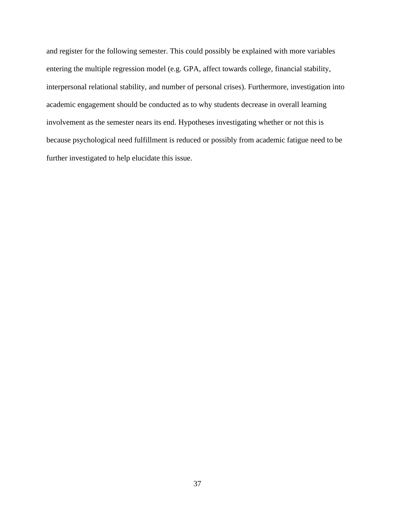and register for the following semester. This could possibly be explained with more variables entering the multiple regression model (e.g. GPA, affect towards college, financial stability, interpersonal relational stability, and number of personal crises). Furthermore, investigation into academic engagement should be conducted as to why students decrease in overall learning involvement as the semester nears its end. Hypotheses investigating whether or not this is because psychological need fulfillment is reduced or possibly from academic fatigue need to be further investigated to help elucidate this issue.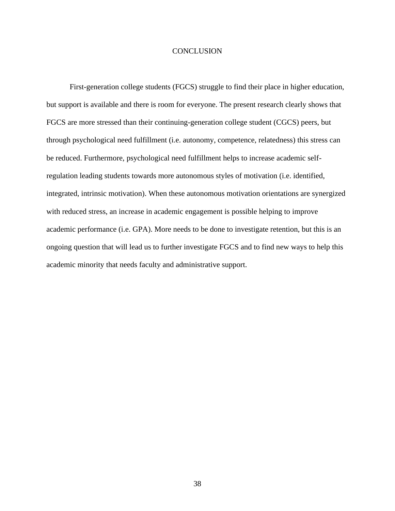#### **CONCLUSION**

First-generation college students (FGCS) struggle to find their place in higher education, but support is available and there is room for everyone. The present research clearly shows that FGCS are more stressed than their continuing-generation college student (CGCS) peers, but through psychological need fulfillment (i.e. autonomy, competence, relatedness) this stress can be reduced. Furthermore, psychological need fulfillment helps to increase academic selfregulation leading students towards more autonomous styles of motivation (i.e. identified, integrated, intrinsic motivation). When these autonomous motivation orientations are synergized with reduced stress, an increase in academic engagement is possible helping to improve academic performance (i.e. GPA). More needs to be done to investigate retention, but this is an ongoing question that will lead us to further investigate FGCS and to find new ways to help this academic minority that needs faculty and administrative support.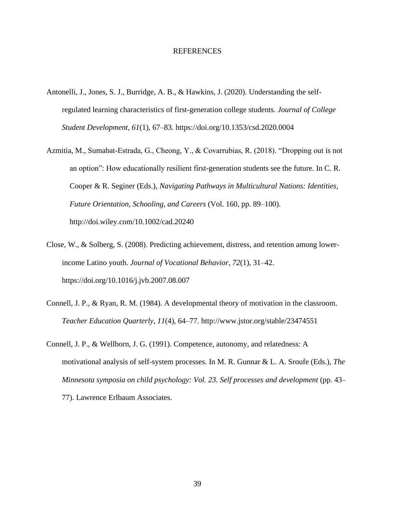#### REFERENCES

- Antonelli, J., Jones, S. J., Burridge, A. B., & Hawkins, J. (2020). Understanding the selfregulated learning characteristics of first-generation college students. *Journal of College Student Development*, *61*(1), 67–83.<https://doi.org/10.1353/csd.2020.0004>
- Azmitia, M., Sumabat-Estrada, G., Cheong, Y., & Covarrubias, R. (2018). "Dropping out is not an option": How educationally resilient first-generation students see the future. In C. R. Cooper & R. Seginer (Eds.), *Navigating Pathways in Multicultural Nations: Identities, Future Orientation, Schooling, and Careers* (Vol. 160, pp. 89–100). <http://doi.wiley.com/10.1002/cad.20240>
- Close, W., & Solberg, S. (2008). Predicting achievement, distress, and retention among lowerincome Latino youth. *Journal of Vocational Behavior*, *72*(1), 31–42. <https://doi.org/10.1016/j.jvb.2007.08.007>
- Connell, J. P., & Ryan, R. M. (1984). A developmental theory of motivation in the classroom. *Teacher Education Quarterly*, *11*(4), 64–77. http://www.jstor.org/stable/23474551
- Connell, J. P., & Wellborn, J. G. (1991). Competence, autonomy, and relatedness: A motivational analysis of self-system processes. In M. R. Gunnar & L. A. Sroufe (Eds.), *The Minnesota symposia on child psychology: Vol. 23. Self processes and development* (pp. 43– 77). Lawrence Erlbaum Associates.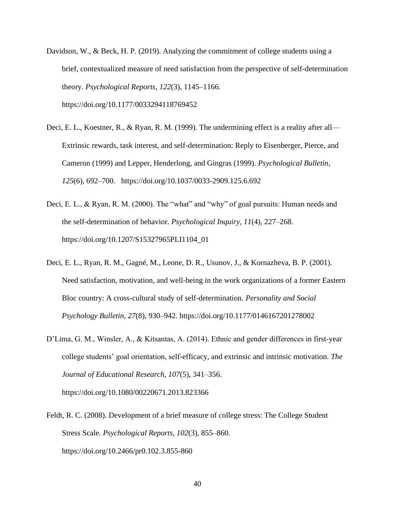- Davidson, W., & Beck, H. P. (2019). Analyzing the commitment of college students using a brief, contextualized measure of need satisfaction from the perspective of self-determination theory. *Psychological Reports*, *122*(3), 1145–1166. <https://doi.org/10.1177/0033294118769452>
- Deci, E. L., Koestner, R., & Ryan, R. M. (1999). The undermining effect is a reality after all— Extrinsic rewards, task interest, and self-determination: Reply to Eisenberger, Pierce, and Cameron (1999) and Lepper, Henderlong, and Gingras (1999). *Psychological Bulletin*, *125*(6), 692–700. <https://doi.org/10.1037/0033-2909.125.6.692>
- Deci, E. L., & Ryan, R. M. (2000). The "what" and "why" of goal pursuits: Human needs and the self-determination of behavior. *Psychological Inquiry*, *11*(4), 227–268. [https://doi.org/10.1207/S15327965PLI1104\\_01](https://doi.org/10.1207/S15327965PLI1104_01)
- Deci, E. L., Ryan, R. M., Gagné, M., Leone, D. R., Usunov, J., & Kornazheva, B. P. (2001). Need satisfaction, motivation, and well-being in the work organizations of a former Eastern Bloc country: A cross-cultural study of self-determination. *Personality and Social Psychology Bulletin*, *27*(8), 930–942.<https://doi.org/10.1177/0146167201278002>
- D'Lima, G. M., Winsler, A., & Kitsantas, A. (2014). Ethnic and gender differences in first-year college students' goal orientation, self-efficacy, and extrinsic and intrinsic motivation. *The Journal of Educational Research*, *107*(5), 341–356. <https://doi.org/10.1080/00220671.2013.823366>
- Feldt, R. C. (2008). Development of a brief measure of college stress: The College Student Stress Scale. *Psychological Reports*, *102*(3), 855–860. <https://doi.org/10.2466/pr0.102.3.855-860>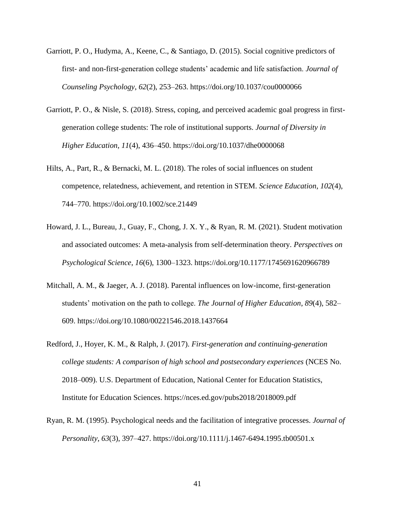- Garriott, P. O., Hudyma, A., Keene, C., & Santiago, D. (2015). Social cognitive predictors of first- and non-first-generation college students' academic and life satisfaction. *Journal of Counseling Psychology*, *62*(2), 253–263.<https://doi.org/10.1037/cou0000066>
- Garriott, P. O., & Nisle, S. (2018). Stress, coping, and perceived academic goal progress in firstgeneration college students: The role of institutional supports. *Journal of Diversity in Higher Education*, *11*(4), 436–450.<https://doi.org/10.1037/dhe0000068>
- Hilts, A., Part, R., & Bernacki, M. L. (2018). The roles of social influences on student competence, relatedness, achievement, and retention in STEM. *Science Education*, *102*(4), 744–770.<https://doi.org/10.1002/sce.21449>
- Howard, J. L., Bureau, J., Guay, F., Chong, J. X. Y., & Ryan, R. M. (2021). Student motivation and associated outcomes: A meta-analysis from self-determination theory. *Perspectives on Psychological Science*, *16*(6), 1300–1323.<https://doi.org/10.1177/1745691620966789>
- Mitchall, A. M., & Jaeger, A. J. (2018). Parental influences on low-income, first-generation students' motivation on the path to college. *The Journal of Higher Education*, *89*(4), 582– 609.<https://doi.org/10.1080/00221546.2018.1437664>
- Redford, J., Hoyer, K. M., & Ralph, J. (2017). *First-generation and continuing-generation college students: A comparison of high school and postsecondary experiences* (NCES No. 2018–009). U.S. Department of Education, National Center for Education Statistics, Institute for Education Sciences.<https://nces.ed.gov/pubs2018/2018009.pdf>
- Ryan, R. M. (1995). Psychological needs and the facilitation of integrative processes. *Journal of Personality*, *63*(3), 397–427.<https://doi.org/10.1111/j.1467-6494.1995.tb00501.x>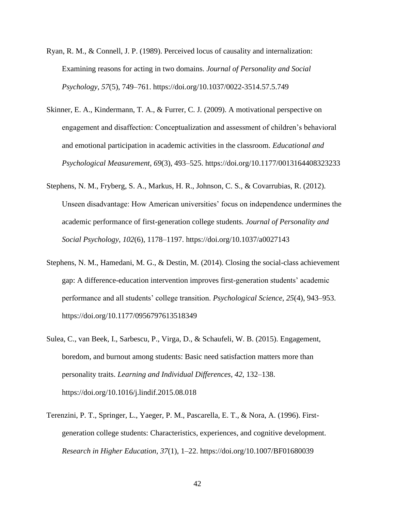- Ryan, R. M., & Connell, J. P. (1989). Perceived locus of causality and internalization: Examining reasons for acting in two domains. *Journal of Personality and Social Psychology*, *57*(5), 749–761.<https://doi.org/10.1037/0022-3514.57.5.749>
- Skinner, E. A., Kindermann, T. A., & Furrer, C. J. (2009). A motivational perspective on engagement and disaffection: Conceptualization and assessment of children's behavioral and emotional participation in academic activities in the classroom. *Educational and Psychological Measurement*, *69*(3), 493–525.<https://doi.org/10.1177/0013164408323233>
- Stephens, N. M., Fryberg, S. A., Markus, H. R., Johnson, C. S., & Covarrubias, R. (2012). Unseen disadvantage: How American universities' focus on independence undermines the academic performance of first-generation college students. *Journal of Personality and Social Psychology*, *102*(6), 1178–1197.<https://doi.org/10.1037/a0027143>
- Stephens, N. M., Hamedani, M. G., & Destin, M. (2014). Closing the social-class achievement gap: A difference-education intervention improves first-generation students' academic performance and all students' college transition. *Psychological Science*, *25*(4), 943–953. <https://doi.org/10.1177/0956797613518349>
- Sulea, C., van Beek, I., Sarbescu, P., Virga, D., & Schaufeli, W. B. (2015). Engagement, boredom, and burnout among students: Basic need satisfaction matters more than personality traits. *Learning and Individual Differences*, *42*, 132–138. <https://doi.org/10.1016/j.lindif.2015.08.018>
- Terenzini, P. T., Springer, L., Yaeger, P. M., Pascarella, E. T., & Nora, A. (1996). Firstgeneration college students: Characteristics, experiences, and cognitive development. *Research in Higher Education*, *37*(1), 1–22.<https://doi.org/10.1007/BF01680039>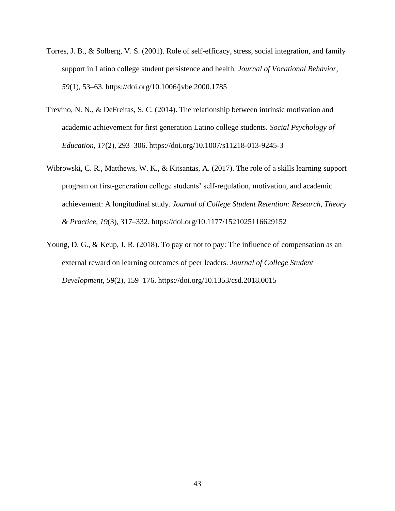- Torres, J. B., & Solberg, V. S. (2001). Role of self-efficacy, stress, social integration, and family support in Latino college student persistence and health. *Journal of Vocational Behavior*, *59*(1), 53–63.<https://doi.org/10.1006/jvbe.2000.1785>
- Trevino, N. N., & DeFreitas, S. C. (2014). The relationship between intrinsic motivation and academic achievement for first generation Latino college students. *Social Psychology of Education*, *17*(2), 293–306.<https://doi.org/10.1007/s11218-013-9245-3>
- Wibrowski, C. R., Matthews, W. K., & Kitsantas, A. (2017). The role of a skills learning support program on first-generation college students' self-regulation, motivation, and academic achievement: A longitudinal study. *Journal of College Student Retention: Research, Theory & Practice*, *19*(3), 317–332.<https://doi.org/10.1177/1521025116629152>
- Young, D. G., & Keup, J. R. (2018). To pay or not to pay: The influence of compensation as an external reward on learning outcomes of peer leaders. *Journal of College Student Development*, *59*(2), 159–176.<https://doi.org/10.1353/csd.2018.0015>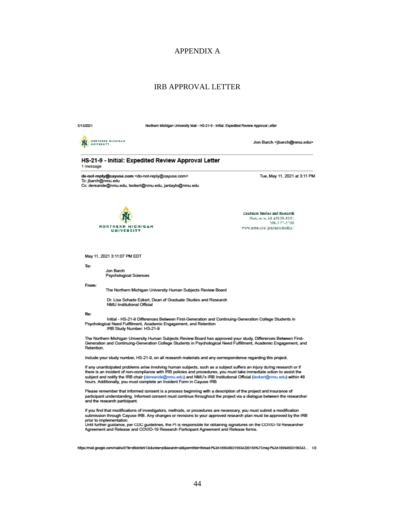### APPENDIX A

### IRB APPROVAL LETTER

|--|

Northern Michigan University Mail - HS-21-9 - Initial: Expedited Review Approval Letter



Jon Barch <ibarch@nmu.edu>

#### HS-21-9 - Initial: Expedited Review Approval Letter 1 message

do-not-reply@cayuse.com <do-not-reply@cayuse.com> To: jbarch@nmu.edu Cc: dereande@nmu.edu, leckert@nmu.edu, jantaylo@nmu.edu Tue, May 11, 2021 at 3:11 PM



Graduate Studies and Research Marquette, MI 49838-8901 306-227-2300 www.nmu.cou/graduatestudies/

May 11, 2021 3:11:07 PM EDT

To:

Jon Barch **Psychological Sciences** 

From:

The Northern Michigan University Human Subjects Review Board

Dr. Lisa Schade Eckert, Dean of Graduate Studies and Research **NMU Institutional Official** 

Re:

....<br>Initial - HS-21-9 Differences Between First-Generation and Continuing-Generation College Students in<br>Psychological Need Fulfillment, Academic Engagement, and Retention IRB Study Number: HS-21-9

The Northern Michigan University Human Subjects Review Board has approved your study, Differences Between First-<br>Generation and Continuing-Generation College Students in Psychological Need Fulfillment, Academic Engagement, **Retention** 

Include your study number, HS-21-9, on all research materials and any correspondence regarding this project.

If any unanticipated problems arise involving human subjects, such as a subject suffers an injury during research or if there is an incident of non-compliance with IRB policies and procedures, you must take immediate action to assist the subject and notify the IRB chair (dereande@nmu.edu) and NMU's IRB Institutional Official (leckert@nmu.edu) within 48 hours. Additionally, you must complete an Incident Form in Cayuse IRB.

Please remember that informed consent is a process beginning with a description of the project and insurance of participant understanding. Informed consent must continue throughout the project via a dialogue between the researcher and the research participant.

If you find that modifications of investigators, methods, or procedures are necessary, you must submit a modification submission through Cayuse IRB. Any changes or revisions to your approved research plan must be approved by the IRB

prior to implementation.<br>Until further guidance, per CDC guidelines, the PI is responsible for obtaining signatures on the COVID-19 Researcher<br>Agreement and Release and COVID-19 Research Participant Agreement and Release f

https://mail.google.com/mail/u/0?lk=d8cb9e913c&view=pt&search=all&permthid=thread-f%3A1699490319934320156%7Cmsg-f%3A16994903199343... 1/2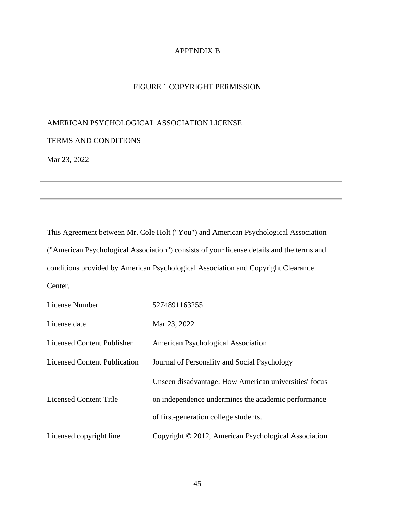# APPENDIX B

# FIGURE 1 COPYRIGHT PERMISSION

# AMERICAN PSYCHOLOGICAL ASSOCIATION LICENSE

# TERMS AND CONDITIONS

Mar 23, 2022

This Agreement between Mr. Cole Holt ("You") and American Psychological Association ("American Psychological Association") consists of your license details and the terms and conditions provided by American Psychological Association and Copyright Clearance Center.

| License Number                      | 5274891163255                                         |  |  |
|-------------------------------------|-------------------------------------------------------|--|--|
| License date                        | Mar 23, 2022                                          |  |  |
| <b>Licensed Content Publisher</b>   | American Psychological Association                    |  |  |
| <b>Licensed Content Publication</b> | Journal of Personality and Social Psychology          |  |  |
|                                     | Unseen disadvantage: How American universities' focus |  |  |
| Licensed Content Title              | on independence undermines the academic performance   |  |  |
|                                     | of first-generation college students.                 |  |  |
| Licensed copyright line             | Copyright © 2012, American Psychological Association  |  |  |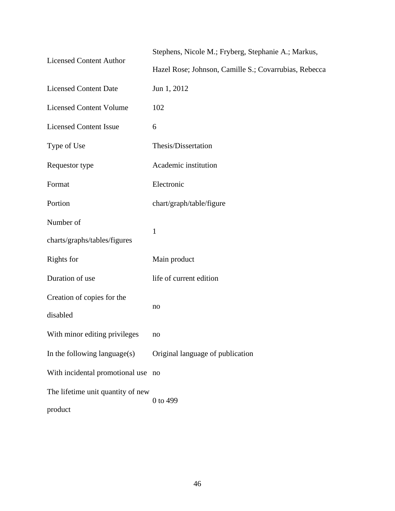| <b>Licensed Content Author</b>     | Stephens, Nicole M.; Fryberg, Stephanie A.; Markus,   |  |  |
|------------------------------------|-------------------------------------------------------|--|--|
|                                    | Hazel Rose; Johnson, Camille S.; Covarrubias, Rebecca |  |  |
| <b>Licensed Content Date</b>       | Jun 1, 2012                                           |  |  |
| <b>Licensed Content Volume</b>     | 102                                                   |  |  |
| <b>Licensed Content Issue</b>      | 6                                                     |  |  |
| Type of Use                        | Thesis/Dissertation                                   |  |  |
| Requestor type                     | Academic institution                                  |  |  |
| Format                             | Electronic                                            |  |  |
| Portion                            | chart/graph/table/figure                              |  |  |
| Number of                          |                                                       |  |  |
| charts/graphs/tables/figures       | $\mathbf{1}$                                          |  |  |
| Rights for                         | Main product                                          |  |  |
| Duration of use                    | life of current edition                               |  |  |
| Creation of copies for the         |                                                       |  |  |
| disabled                           | no                                                    |  |  |
| With minor editing privileges      | no                                                    |  |  |
| In the following language $(s)$    | Original language of publication                      |  |  |
| With incidental promotional use no |                                                       |  |  |
| The lifetime unit quantity of new  | 0 to 499                                              |  |  |
| product                            |                                                       |  |  |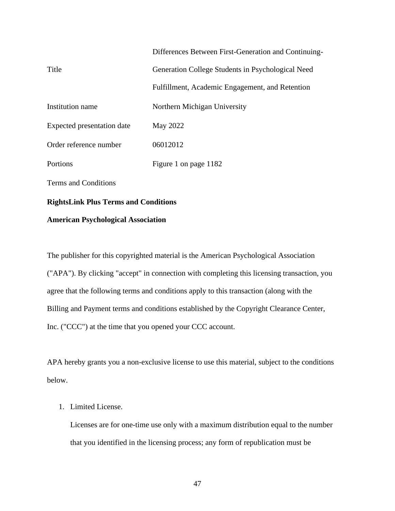|                            | Differences Between First-Generation and Continuing- |  |  |
|----------------------------|------------------------------------------------------|--|--|
| Title                      | Generation College Students in Psychological Need    |  |  |
|                            | Fulfillment, Academic Engagement, and Retention      |  |  |
| Institution name           | Northern Michigan University                         |  |  |
| Expected presentation date | May 2022                                             |  |  |
| Order reference number     | 06012012                                             |  |  |
| Portions                   | Figure 1 on page 1182                                |  |  |
| Terms and Conditions       |                                                      |  |  |

# **RightsLink Plus Terms and Conditions**

# **American Psychological Association**

The publisher for this copyrighted material is the American Psychological Association ("APA"). By clicking "accept" in connection with completing this licensing transaction, you agree that the following terms and conditions apply to this transaction (along with the Billing and Payment terms and conditions established by the Copyright Clearance Center, Inc. ("CCC") at the time that you opened your CCC account.

APA hereby grants you a non-exclusive license to use this material, subject to the conditions below.

# 1. Limited License.

Licenses are for one-time use only with a maximum distribution equal to the number that you identified in the licensing process; any form of republication must be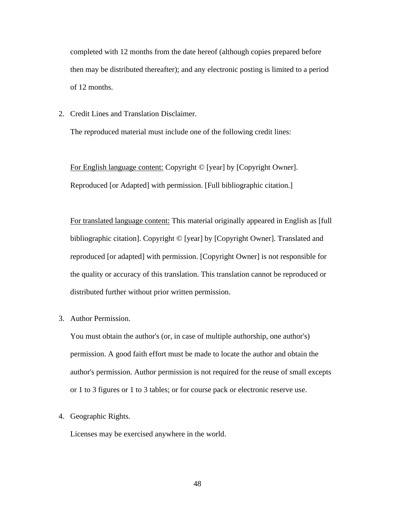completed with 12 months from the date hereof (although copies prepared before then may be distributed thereafter); and any electronic posting is limited to a period of 12 months.

2. Credit Lines and Translation Disclaimer.

The reproduced material must include one of the following credit lines:

For English language content: Copyright © [year] by [Copyright Owner]. Reproduced [or Adapted] with permission. [Full bibliographic citation.]

For translated language content: This material originally appeared in English as [full bibliographic citation]. Copyright © [year] by [Copyright Owner]. Translated and reproduced [or adapted] with permission. [Copyright Owner] is not responsible for the quality or accuracy of this translation. This translation cannot be reproduced or distributed further without prior written permission.

3. Author Permission.

You must obtain the author's (or, in case of multiple authorship, one author's) permission. A good faith effort must be made to locate the author and obtain the author's permission. Author permission is not required for the reuse of small excepts or 1 to 3 figures or 1 to 3 tables; or for course pack or electronic reserve use.

4. Geographic Rights.

Licenses may be exercised anywhere in the world.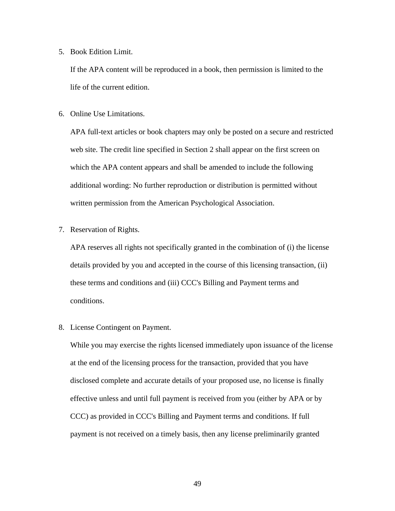5. Book Edition Limit.

If the APA content will be reproduced in a book, then permission is limited to the life of the current edition.

6. Online Use Limitations.

APA full-text articles or book chapters may only be posted on a secure and restricted web site. The credit line specified in Section 2 shall appear on the first screen on which the APA content appears and shall be amended to include the following additional wording: No further reproduction or distribution is permitted without written permission from the American Psychological Association.

7. Reservation of Rights.

APA reserves all rights not specifically granted in the combination of (i) the license details provided by you and accepted in the course of this licensing transaction, (ii) these terms and conditions and (iii) CCC's Billing and Payment terms and conditions.

8. License Contingent on Payment.

While you may exercise the rights licensed immediately upon issuance of the license at the end of the licensing process for the transaction, provided that you have disclosed complete and accurate details of your proposed use, no license is finally effective unless and until full payment is received from you (either by APA or by CCC) as provided in CCC's Billing and Payment terms and conditions. If full payment is not received on a timely basis, then any license preliminarily granted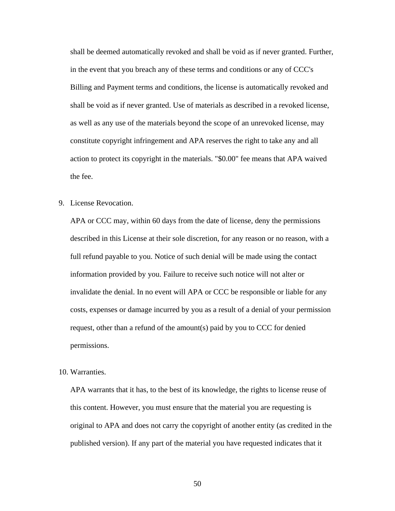shall be deemed automatically revoked and shall be void as if never granted. Further, in the event that you breach any of these terms and conditions or any of CCC's Billing and Payment terms and conditions, the license is automatically revoked and shall be void as if never granted. Use of materials as described in a revoked license, as well as any use of the materials beyond the scope of an unrevoked license, may constitute copyright infringement and APA reserves the right to take any and all action to protect its copyright in the materials. "\$0.00" fee means that APA waived the fee.

9. License Revocation.

APA or CCC may, within 60 days from the date of license, deny the permissions described in this License at their sole discretion, for any reason or no reason, with a full refund payable to you. Notice of such denial will be made using the contact information provided by you. Failure to receive such notice will not alter or invalidate the denial. In no event will APA or CCC be responsible or liable for any costs, expenses or damage incurred by you as a result of a denial of your permission request, other than a refund of the amount(s) paid by you to CCC for denied permissions.

10. Warranties.

APA warrants that it has, to the best of its knowledge, the rights to license reuse of this content. However, you must ensure that the material you are requesting is original to APA and does not carry the copyright of another entity (as credited in the published version). If any part of the material you have requested indicates that it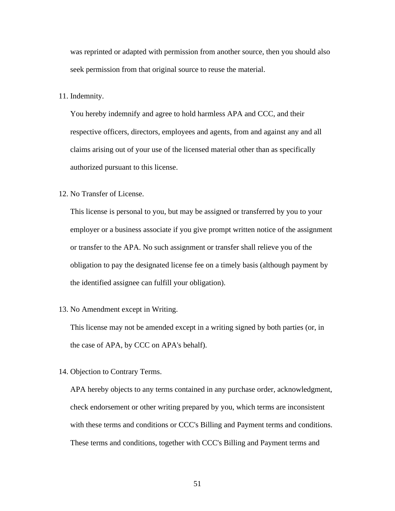was reprinted or adapted with permission from another source, then you should also seek permission from that original source to reuse the material.

11. Indemnity.

You hereby indemnify and agree to hold harmless APA and CCC, and their respective officers, directors, employees and agents, from and against any and all claims arising out of your use of the licensed material other than as specifically authorized pursuant to this license.

12. No Transfer of License.

This license is personal to you, but may be assigned or transferred by you to your employer or a business associate if you give prompt written notice of the assignment or transfer to the APA. No such assignment or transfer shall relieve you of the obligation to pay the designated license fee on a timely basis (although payment by the identified assignee can fulfill your obligation).

13. No Amendment except in Writing.

This license may not be amended except in a writing signed by both parties (or, in the case of APA, by CCC on APA's behalf).

14. Objection to Contrary Terms.

APA hereby objects to any terms contained in any purchase order, acknowledgment, check endorsement or other writing prepared by you, which terms are inconsistent with these terms and conditions or CCC's Billing and Payment terms and conditions. These terms and conditions, together with CCC's Billing and Payment terms and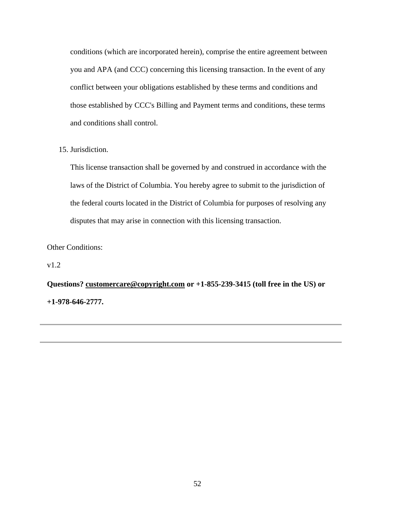conditions (which are incorporated herein), comprise the entire agreement between you and APA (and CCC) concerning this licensing transaction. In the event of any conflict between your obligations established by these terms and conditions and those established by CCC's Billing and Payment terms and conditions, these terms and conditions shall control.

15. Jurisdiction.

This license transaction shall be governed by and construed in accordance with the laws of the District of Columbia. You hereby agree to submit to the jurisdiction of the federal courts located in the District of Columbia for purposes of resolving any disputes that may arise in connection with this licensing transaction.

Other Conditions:

v1.2

**Questions? [customercare@copyright.com](mailto:customercare@copyright.com) or +1-855-239-3415 (toll free in the US) or +1-978-646-2777.**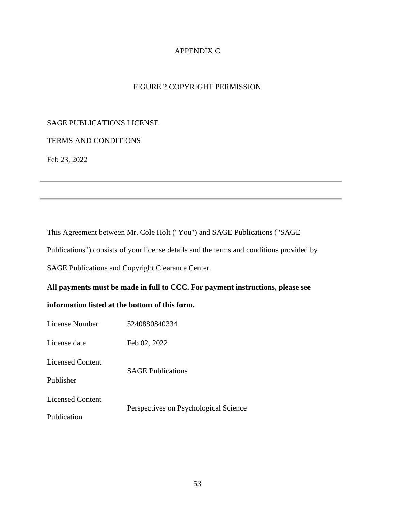# APPENDIX C

# FIGURE 2 COPYRIGHT PERMISSION

# SAGE PUBLICATIONS LICENSE

# TERMS AND CONDITIONS

Feb 23, 2022

This Agreement between Mr. Cole Holt ("You") and SAGE Publications ("SAGE

Publications") consists of your license details and the terms and conditions provided by

SAGE Publications and Copyright Clearance Center.

# **All payments must be made in full to CCC. For payment instructions, please see**

# **information listed at the bottom of this form.**

| License Number          | 5240880840334                         |  |  |
|-------------------------|---------------------------------------|--|--|
| License date            | Feb 02, 2022                          |  |  |
| <b>Licensed Content</b> | <b>SAGE</b> Publications              |  |  |
| Publisher               |                                       |  |  |
| <b>Licensed Content</b> |                                       |  |  |
| Publication             | Perspectives on Psychological Science |  |  |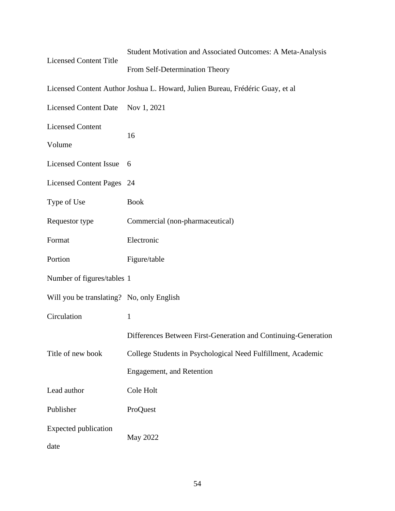| <b>Licensed Content Title</b>             | Student Motivation and Associated Outcomes: A Meta-Analysis                   |  |  |
|-------------------------------------------|-------------------------------------------------------------------------------|--|--|
|                                           | From Self-Determination Theory                                                |  |  |
|                                           | Licensed Content Author Joshua L. Howard, Julien Bureau, Frédéric Guay, et al |  |  |
| Licensed Content Date Nov 1, 2021         |                                                                               |  |  |
| <b>Licensed Content</b>                   |                                                                               |  |  |
| Volume                                    | 16                                                                            |  |  |
| <b>Licensed Content Issue</b>             | 6                                                                             |  |  |
| Licensed Content Pages 24                 |                                                                               |  |  |
| Type of Use                               | <b>Book</b>                                                                   |  |  |
| Requestor type                            | Commercial (non-pharmaceutical)                                               |  |  |
| Format                                    | Electronic                                                                    |  |  |
| Portion                                   | Figure/table                                                                  |  |  |
| Number of figures/tables 1                |                                                                               |  |  |
| Will you be translating? No, only English |                                                                               |  |  |
| Circulation                               | $\mathbf{1}$                                                                  |  |  |
|                                           | Differences Between First-Generation and Continuing-Generation                |  |  |
| Title of new book                         | College Students in Psychological Need Fulfillment, Academic                  |  |  |
|                                           | <b>Engagement</b> , and Retention                                             |  |  |
| Lead author                               | Cole Holt                                                                     |  |  |
| Publisher                                 | ProQuest                                                                      |  |  |
| <b>Expected publication</b>               |                                                                               |  |  |
| date                                      | May 2022                                                                      |  |  |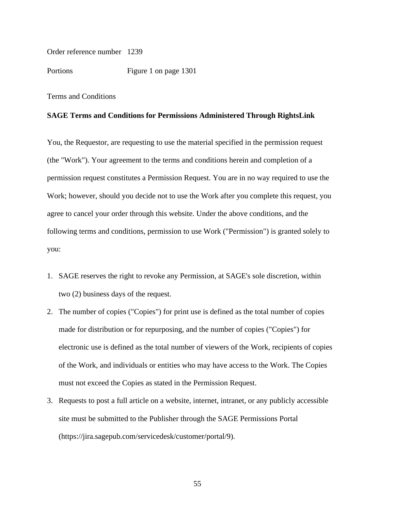Order reference number 1239

Portions Figure 1 on page 1301

Terms and Conditions

#### **SAGE Terms and Conditions for Permissions Administered Through RightsLink**

You, the Requestor, are requesting to use the material specified in the permission request (the "Work"). Your agreement to the terms and conditions herein and completion of a permission request constitutes a Permission Request. You are in no way required to use the Work; however, should you decide not to use the Work after you complete this request, you agree to cancel your order through this website. Under the above conditions, and the following terms and conditions, permission to use Work ("Permission") is granted solely to you:

- 1. SAGE reserves the right to revoke any Permission, at SAGE's sole discretion, within two (2) business days of the request.
- 2. The number of copies ("Copies") for print use is defined as the total number of copies made for distribution or for repurposing, and the number of copies ("Copies") for electronic use is defined as the total number of viewers of the Work, recipients of copies of the Work, and individuals or entities who may have access to the Work. The Copies must not exceed the Copies as stated in the Permission Request.
- 3. Requests to post a full article on a website, internet, intranet, or any publicly accessible site must be submitted to the Publisher through the SAGE Permissions Portal [\(https://jira.sagepub.com/servicedesk/customer/portal/9\)](https://jira.sagepub.com/servicedesk/customer/portal/9).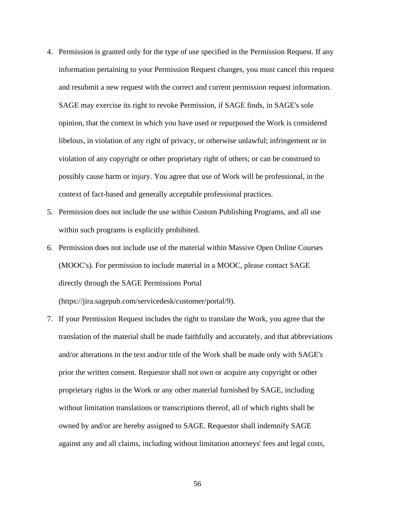- 4. Permission is granted only for the type of use specified in the Permission Request. If any information pertaining to your Permission Request changes, you must cancel this request and resubmit a new request with the correct and current permission request information. SAGE may exercise its right to revoke Permission, if SAGE finds, in SAGE's sole opinion, that the context in which you have used or repurposed the Work is considered libelous, in violation of any right of privacy, or otherwise unlawful; infringement or in violation of any copyright or other proprietary right of others; or can be construed to possibly cause harm or injury. You agree that use of Work will be professional, in the context of fact-based and generally acceptable professional practices.
- 5. Permission does not include the use within Custom Publishing Programs, and all use within such programs is explicitly prohibited.
- 6. Permission does not include use of the material within Massive Open Online Courses (MOOC's). For permission to include material in a MOOC, please contact SAGE directly through the SAGE Permissions Portal

[\(https://jira.sagepub.com/servicedesk/customer/portal/9\)](https://jira.sagepub.com/servicedesk/customer/portal/9).

7. If your Permission Request includes the right to translate the Work, you agree that the translation of the material shall be made faithfully and accurately, and that abbreviations and/or alterations in the text and/or title of the Work shall be made only with SAGE's prior the written consent. Requestor shall not own or acquire any copyright or other proprietary rights in the Work or any other material furnished by SAGE, including without limitation translations or transcriptions thereof, all of which rights shall be owned by and/or are hereby assigned to SAGE. Requestor shall indemnify SAGE against any and all claims, including without limitation attorneys' fees and legal costs,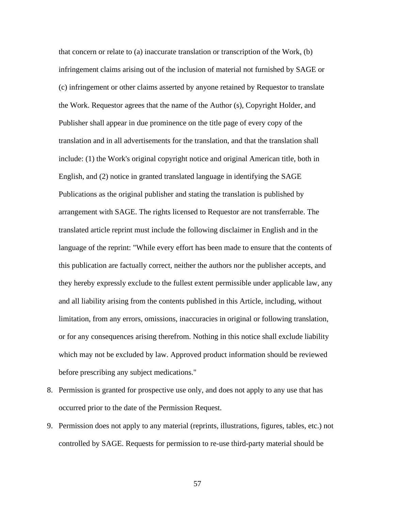that concern or relate to (a) inaccurate translation or transcription of the Work, (b) infringement claims arising out of the inclusion of material not furnished by SAGE or (c) infringement or other claims asserted by anyone retained by Requestor to translate the Work. Requestor agrees that the name of the Author (s), Copyright Holder, and Publisher shall appear in due prominence on the title page of every copy of the translation and in all advertisements for the translation, and that the translation shall include: (1) the Work's original copyright notice and original American title, both in English, and (2) notice in granted translated language in identifying the SAGE Publications as the original publisher and stating the translation is published by arrangement with SAGE. The rights licensed to Requestor are not transferrable. The translated article reprint must include the following disclaimer in English and in the language of the reprint: "While every effort has been made to ensure that the contents of this publication are factually correct, neither the authors nor the publisher accepts, and they hereby expressly exclude to the fullest extent permissible under applicable law, any and all liability arising from the contents published in this Article, including, without limitation, from any errors, omissions, inaccuracies in original or following translation, or for any consequences arising therefrom. Nothing in this notice shall exclude liability which may not be excluded by law. Approved product information should be reviewed before prescribing any subject medications."

- 8. Permission is granted for prospective use only, and does not apply to any use that has occurred prior to the date of the Permission Request.
- 9. Permission does not apply to any material (reprints, illustrations, figures, tables, etc.) not controlled by SAGE. Requests for permission to re-use third-party material should be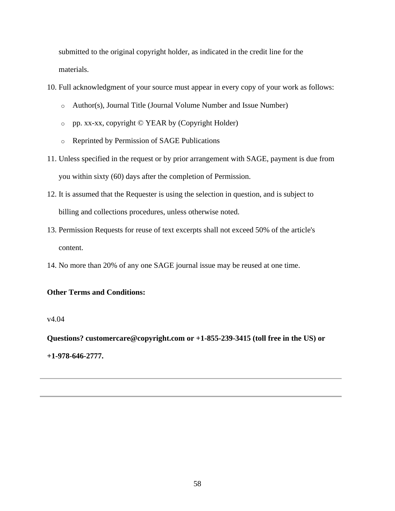submitted to the original copyright holder, as indicated in the credit line for the materials.

- 10. Full acknowledgment of your source must appear in every copy of your work as follows:
	- o Author(s), Journal Title (Journal Volume Number and Issue Number)
	- o pp. xx-xx, copyright © YEAR by (Copyright Holder)
	- o Reprinted by Permission of SAGE Publications
- 11. Unless specified in the request or by prior arrangement with SAGE, payment is due from you within sixty (60) days after the completion of Permission.
- 12. It is assumed that the Requester is using the selection in question, and is subject to billing and collections procedures, unless otherwise noted.
- 13. Permission Requests for reuse of text excerpts shall not exceed 50% of the article's content.
- 14. No more than 20% of any one SAGE journal issue may be reused at one time.

# **Other Terms and Conditions:**

v4.04

**Questions? [customercare@copyright.com](mailto:customercare@copyright.com) or +1-855-239-3415 (toll free in the US) or** 

**+1-978-646-2777.**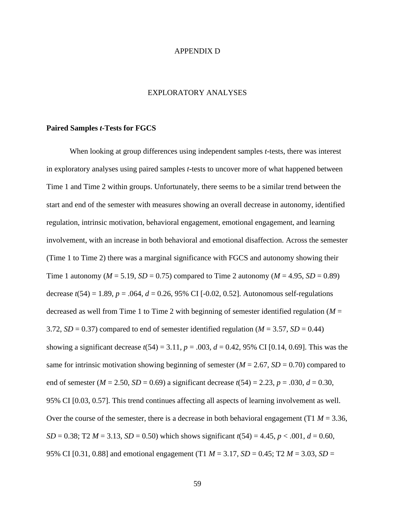#### APPENDIX D

### EXPLORATORY ANALYSES

#### **Paired Samples** *t***-Tests for FGCS**

When looking at group differences using independent samples *t*-tests, there was interest in exploratory analyses using paired samples *t*-tests to uncover more of what happened between Time 1 and Time 2 within groups. Unfortunately, there seems to be a similar trend between the start and end of the semester with measures showing an overall decrease in autonomy, identified regulation, intrinsic motivation, behavioral engagement, emotional engagement, and learning involvement, with an increase in both behavioral and emotional disaffection. Across the semester (Time 1 to Time 2) there was a marginal significance with FGCS and autonomy showing their Time 1 autonomy ( $M = 5.19$ ,  $SD = 0.75$ ) compared to Time 2 autonomy ( $M = 4.95$ ,  $SD = 0.89$ ) decrease  $t(54) = 1.89$ ,  $p = .064$ ,  $d = 0.26$ , 95% CI [-0.02, 0.52]. Autonomous self-regulations decreased as well from Time 1 to Time 2 with beginning of semester identified regulation (*M* = 3.72,  $SD = 0.37$ ) compared to end of semester identified regulation ( $M = 3.57$ ,  $SD = 0.44$ ) showing a significant decrease  $t(54) = 3.11$ ,  $p = .003$ ,  $d = 0.42$ , 95% CI [0.14, 0.69]. This was the same for intrinsic motivation showing beginning of semester  $(M = 2.67, SD = 0.70)$  compared to end of semester ( $M = 2.50$ ,  $SD = 0.69$ ) a significant decrease  $t(54) = 2.23$ ,  $p = .030$ ,  $d = 0.30$ , 95% CI [0.03, 0.57]. This trend continues affecting all aspects of learning involvement as well. Over the course of the semester, there is a decrease in both behavioral engagement (T1  $M = 3.36$ , *SD* = 0.38; T2 *M* = 3.13, *SD* = 0.50) which shows significant  $t(54) = 4.45$ ,  $p < .001$ ,  $d = 0.60$ , 95% CI [0.31, 0.88] and emotional engagement (T1 *M* = 3.17, *SD* = 0.45; T2 *M* = 3.03, *SD* =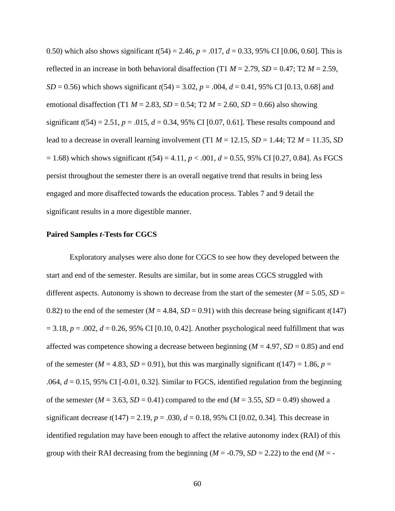0.50) which also shows significant *t*(54) = 2.46, *p* = .017, *d* = 0.33, 95% CI [0.06, 0.60]. This is reflected in an increase in both behavioral disaffection (T1  $M = 2.79$ ,  $SD = 0.47$ ; T2  $M = 2.59$ , *SD* = 0.56) which shows significant *t*(54) = 3.02, *p* = .004, *d* = 0.41, 95% CI [0.13, 0.68] and emotional disaffection (T1  $M = 2.83$ ,  $SD = 0.54$ ; T2  $M = 2.60$ ,  $SD = 0.66$ ) also showing significant  $t(54) = 2.51$ ,  $p = .015$ ,  $d = 0.34$ , 95% CI [0.07, 0.61]. These results compound and lead to a decrease in overall learning involvement  $(T1 M = 12.15, SD = 1.44; T2 M = 11.35, SD$  $= 1.68$ ) which shows significant  $t(54) = 4.11$ ,  $p < .001$ ,  $d = 0.55$ , 95% CI [0.27, 0.84]. As FGCS persist throughout the semester there is an overall negative trend that results in being less engaged and more disaffected towards the education process. Tables 7 and 9 detail the significant results in a more digestible manner.

#### **Paired Samples** *t***-Tests for CGCS**

Exploratory analyses were also done for CGCS to see how they developed between the start and end of the semester. Results are similar, but in some areas CGCS struggled with different aspects. Autonomy is shown to decrease from the start of the semester ( $M = 5.05$ ,  $SD =$ 0.82) to the end of the semester ( $M = 4.84$ ,  $SD = 0.91$ ) with this decrease being significant  $t(147)$  $= 3.18$ ,  $p = .002$ ,  $d = 0.26$ , 95% CI [0.10, 0.42]. Another psychological need fulfillment that was affected was competence showing a decrease between beginning ( $M = 4.97$ ,  $SD = 0.85$ ) and end of the semester ( $M = 4.83$ ,  $SD = 0.91$ ), but this was marginally significant  $t(147) = 1.86$ ,  $p =$ .064, *d* = 0.15, 95% CI [-0.01, 0.32]. Similar to FGCS, identified regulation from the beginning of the semester ( $M = 3.63$ ,  $SD = 0.41$ ) compared to the end ( $M = 3.55$ ,  $SD = 0.49$ ) showed a significant decrease  $t(147) = 2.19$ ,  $p = .030$ ,  $d = 0.18$ , 95% CI [0.02, 0.34]. This decrease in identified regulation may have been enough to affect the relative autonomy index (RAI) of this group with their RAI decreasing from the beginning ( $M = -0.79$ ,  $SD = 2.22$ ) to the end ( $M = -1$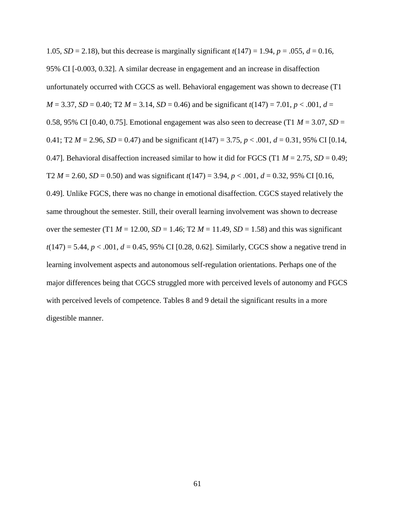1.05, *SD* = 2.18), but this decrease is marginally significant  $t(147) = 1.94$ ,  $p = .055$ ,  $d = 0.16$ , 95% CI [-0.003, 0.32]. A similar decrease in engagement and an increase in disaffection unfortunately occurred with CGCS as well. Behavioral engagement was shown to decrease (T1 *M* = 3.37, *SD* = 0.40; T2 *M* = 3.14, *SD* = 0.46) and be significant  $t(147) = 7.01$ ,  $p < .001$ ,  $d =$ 0.58, 95% CI [0.40, 0.75]. Emotional engagement was also seen to decrease (T1  $M = 3.07$ ,  $SD =$ 0.41; T2  $M = 2.96$ ,  $SD = 0.47$ ) and be significant  $t(147) = 3.75$ ,  $p < .001$ ,  $d = 0.31$ , 95% CI [0.14, 0.47]. Behavioral disaffection increased similar to how it did for FGCS (T1  $M = 2.75$ ,  $SD = 0.49$ ; T2  $M = 2.60$ ,  $SD = 0.50$ ) and was significant  $t(147) = 3.94$ ,  $p < .001$ ,  $d = 0.32$ , 95% CI [0.16, 0.49]. Unlike FGCS, there was no change in emotional disaffection. CGCS stayed relatively the same throughout the semester. Still, their overall learning involvement was shown to decrease over the semester (T1  $M = 12.00$ ,  $SD = 1.46$ ; T2  $M = 11.49$ ,  $SD = 1.58$ ) and this was significant  $t(147) = 5.44, p < .001, d = 0.45, 95\% \text{ CI}$  [0.28, 0.62]. Similarly, CGCS show a negative trend in learning involvement aspects and autonomous self-regulation orientations. Perhaps one of the major differences being that CGCS struggled more with perceived levels of autonomy and FGCS with perceived levels of competence. Tables 8 and 9 detail the significant results in a more digestible manner.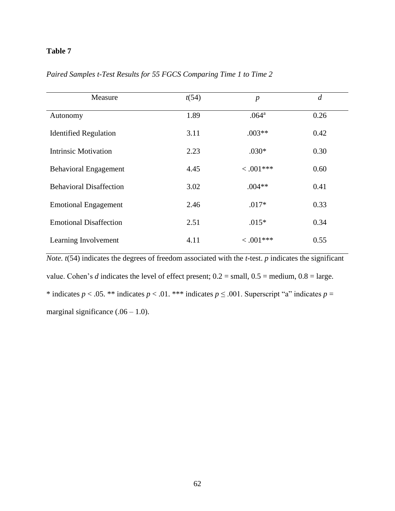# **Table 7**

| Measure                        | t(54) | $\boldsymbol{p}$  | $\overline{d}$ |
|--------------------------------|-------|-------------------|----------------|
| Autonomy                       | 1.89  | .064 <sup>a</sup> | 0.26           |
| <b>Identified Regulation</b>   | 3.11  | $.003**$          | 0.42           |
| <b>Intrinsic Motivation</b>    | 2.23  | $.030*$           | 0.30           |
| <b>Behavioral Engagement</b>   | 4.45  | $< .001***$       | 0.60           |
| <b>Behavioral Disaffection</b> | 3.02  | $.004**$          | 0.41           |
| <b>Emotional Engagement</b>    | 2.46  | $.017*$           | 0.33           |
| <b>Emotional Disaffection</b>  | 2.51  | $.015*$           | 0.34           |
| Learning Involvement           | 4.11  | $< .001***$       | 0.55           |

*Paired Samples t-Test Results for 55 FGCS Comparing Time 1 to Time 2*

*Note. t*(54) indicates the degrees of freedom associated with the *t*-test. *p* indicates the significant value. Cohen's *d* indicates the level of effect present; 0.2 = small, 0.5 = medium, 0.8 = large. \* indicates  $p < .05$ . \*\* indicates  $p < .01$ . \*\*\* indicates  $p \le .001$ . Superscript "a" indicates  $p =$ marginal significance  $(.06 - 1.0)$ .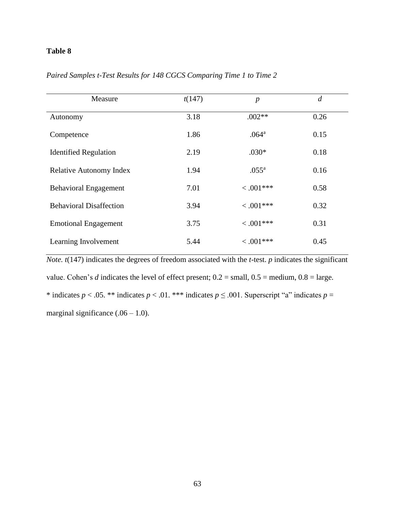## **Table 8**

| Measure                        | t(147) | $\boldsymbol{p}$  | $\overline{d}$ |
|--------------------------------|--------|-------------------|----------------|
| Autonomy                       | 3.18   | $.002**$          | 0.26           |
| Competence                     | 1.86   | .064 <sup>a</sup> | 0.15           |
| <b>Identified Regulation</b>   | 2.19   | $.030*$           | 0.18           |
| <b>Relative Autonomy Index</b> | 1.94   | $.055^{\rm a}$    | 0.16           |
| <b>Behavioral Engagement</b>   | 7.01   | $< .001$ ***      | 0.58           |
| <b>Behavioral Disaffection</b> | 3.94   | $< .001***$       | 0.32           |
| <b>Emotional Engagement</b>    | 3.75   | $< .001$ ***      | 0.31           |
| Learning Involvement           | 5.44   | $< .001***$       | 0.45           |

*Paired Samples t-Test Results for 148 CGCS Comparing Time 1 to Time 2*

*Note. t*(147) indicates the degrees of freedom associated with the *t*-test. *p* indicates the significant value. Cohen's *d* indicates the level of effect present;  $0.2 = \text{small}$ ,  $0.5 = \text{medium}$ ,  $0.8 = \text{large}$ . \* indicates  $p < .05$ . \*\* indicates  $p < .01$ . \*\*\* indicates  $p \le .001$ . Superscript "a" indicates  $p =$ marginal significance  $(.06 - 1.0)$ .